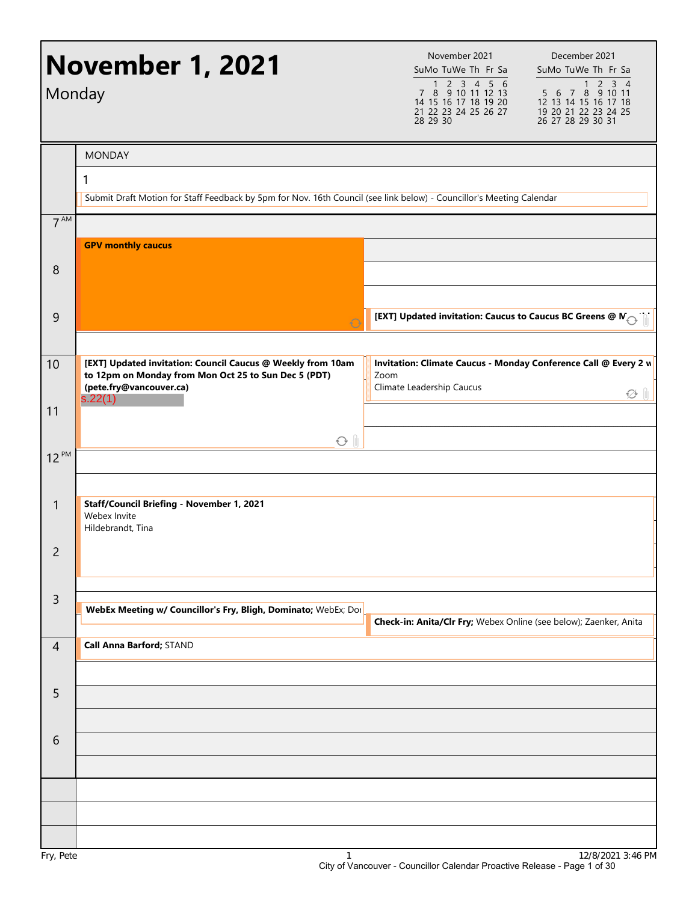|                 | <b>November 1, 2021</b><br>Monday                                                                                                              | November 2021<br>December 2021<br>SuMo TuWe Th Fr Sa<br>SuMo TuWe Th Fr Sa<br>1 2 3 4 5 6<br>$1 2 3 4$<br>7 8 9 10 11 12 13<br>5 6 7 8 9 10 11<br>14 15 16 17 18 19 20<br>12 13 14 15 16 17 18<br>21 22 23 24 25 26 27<br>19 20 21 22 23 24 25<br>28 29 30<br>26 27 28 29 30 31 |
|-----------------|------------------------------------------------------------------------------------------------------------------------------------------------|---------------------------------------------------------------------------------------------------------------------------------------------------------------------------------------------------------------------------------------------------------------------------------|
|                 | <b>MONDAY</b>                                                                                                                                  |                                                                                                                                                                                                                                                                                 |
|                 | 1<br>Submit Draft Motion for Staff Feedback by 5pm for Nov. 16th Council (see link below) - Councillor's Meeting Calendar                      |                                                                                                                                                                                                                                                                                 |
| 7 <sup>AM</sup> |                                                                                                                                                |                                                                                                                                                                                                                                                                                 |
|                 | <b>GPV monthly caucus</b>                                                                                                                      |                                                                                                                                                                                                                                                                                 |
| 8               |                                                                                                                                                |                                                                                                                                                                                                                                                                                 |
|                 |                                                                                                                                                |                                                                                                                                                                                                                                                                                 |
| 9               |                                                                                                                                                | [EXT] Updated invitation: Caucus to Caucus BC Greens @ $\mathsf{N}_{\bigodot}$                                                                                                                                                                                                  |
| 10              | [EXT] Updated invitation: Council Caucus @ Weekly from 10am<br>to 12pm on Monday from Mon Oct 25 to Sun Dec 5 (PDT)<br>(pete.fry@vancouver.ca) | Invitation: Climate Caucus - Monday Conference Call @ Every 2 w<br>Zoom<br>Climate Leadership Caucus                                                                                                                                                                            |
| 11              | s.22(1)                                                                                                                                        | ₩                                                                                                                                                                                                                                                                               |
|                 | $O$ $\parallel$                                                                                                                                |                                                                                                                                                                                                                                                                                 |
| $12^{PM}$       |                                                                                                                                                |                                                                                                                                                                                                                                                                                 |
| $\mathbf{1}$    | Staff/Council Briefing - November 1, 2021                                                                                                      |                                                                                                                                                                                                                                                                                 |
|                 | Webex Invite<br>Hildebrandt, Tina                                                                                                              |                                                                                                                                                                                                                                                                                 |
| $\overline{c}$  |                                                                                                                                                |                                                                                                                                                                                                                                                                                 |
|                 |                                                                                                                                                |                                                                                                                                                                                                                                                                                 |
| $\overline{3}$  | WebEx Meeting w/ Councillor's Fry, Bligh, Dominato; WebEx; Dor                                                                                 |                                                                                                                                                                                                                                                                                 |
| $\overline{4}$  | Call Anna Barford; STAND                                                                                                                       | Check-in: Anita/Clr Fry; Webex Online (see below); Zaenker, Anita                                                                                                                                                                                                               |
|                 |                                                                                                                                                |                                                                                                                                                                                                                                                                                 |
| 5               |                                                                                                                                                |                                                                                                                                                                                                                                                                                 |
|                 |                                                                                                                                                |                                                                                                                                                                                                                                                                                 |
| 6               |                                                                                                                                                |                                                                                                                                                                                                                                                                                 |
|                 |                                                                                                                                                |                                                                                                                                                                                                                                                                                 |
|                 |                                                                                                                                                |                                                                                                                                                                                                                                                                                 |
|                 |                                                                                                                                                |                                                                                                                                                                                                                                                                                 |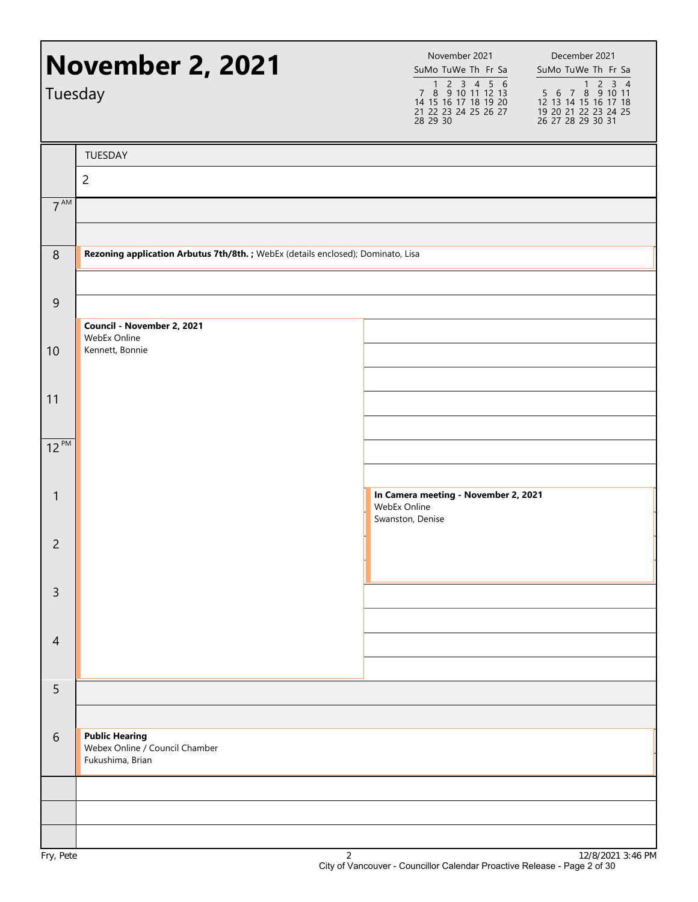| Tuesday         | <b>November 2, 2021</b>                                                          | November 2021<br>December 2021<br>SuMo TuWe Th Fr Sa<br>SuMo TuWe Th Fr Sa<br>1 2 3 4 5 6<br>7 8 9 10 11 12 13<br>14 15 16 17 18 19 20<br>5 6 7 8 9 10 11<br>12 13 14 15 16 17 18<br>21 22 23 24 25 26 27<br>19 20 21 22 23 24 25<br>28 29 30<br>26 27 28 29 30 31 | $1 2 3 4$ |
|-----------------|----------------------------------------------------------------------------------|--------------------------------------------------------------------------------------------------------------------------------------------------------------------------------------------------------------------------------------------------------------------|-----------|
|                 | TUESDAY                                                                          |                                                                                                                                                                                                                                                                    |           |
|                 | $\overline{2}$                                                                   |                                                                                                                                                                                                                                                                    |           |
| 7 <sup>AM</sup> |                                                                                  |                                                                                                                                                                                                                                                                    |           |
| 8               | Rezoning application Arbutus 7th/8th. ; WebEx (details enclosed); Dominato, Lisa |                                                                                                                                                                                                                                                                    |           |
| $\mathsf 9$     |                                                                                  |                                                                                                                                                                                                                                                                    |           |
| 10              | Council - November 2, 2021<br>WebEx Online<br>Kennett, Bonnie                    |                                                                                                                                                                                                                                                                    |           |
| 11              |                                                                                  |                                                                                                                                                                                                                                                                    |           |
| $12^{PM}$       |                                                                                  |                                                                                                                                                                                                                                                                    |           |
| 1               |                                                                                  | In Camera meeting - November 2, 2021<br>WebEx Online<br>Swanston, Denise                                                                                                                                                                                           |           |
| $\overline{c}$  |                                                                                  |                                                                                                                                                                                                                                                                    |           |
| $\overline{3}$  |                                                                                  |                                                                                                                                                                                                                                                                    |           |
| $\overline{4}$  |                                                                                  |                                                                                                                                                                                                                                                                    |           |
| 5               |                                                                                  |                                                                                                                                                                                                                                                                    |           |
| 6               | <b>Public Hearing</b><br>Webex Online / Council Chamber<br>Fukushima, Brian      |                                                                                                                                                                                                                                                                    |           |
|                 |                                                                                  |                                                                                                                                                                                                                                                                    |           |
|                 |                                                                                  |                                                                                                                                                                                                                                                                    |           |
|                 |                                                                                  |                                                                                                                                                                                                                                                                    | 0.1010004 |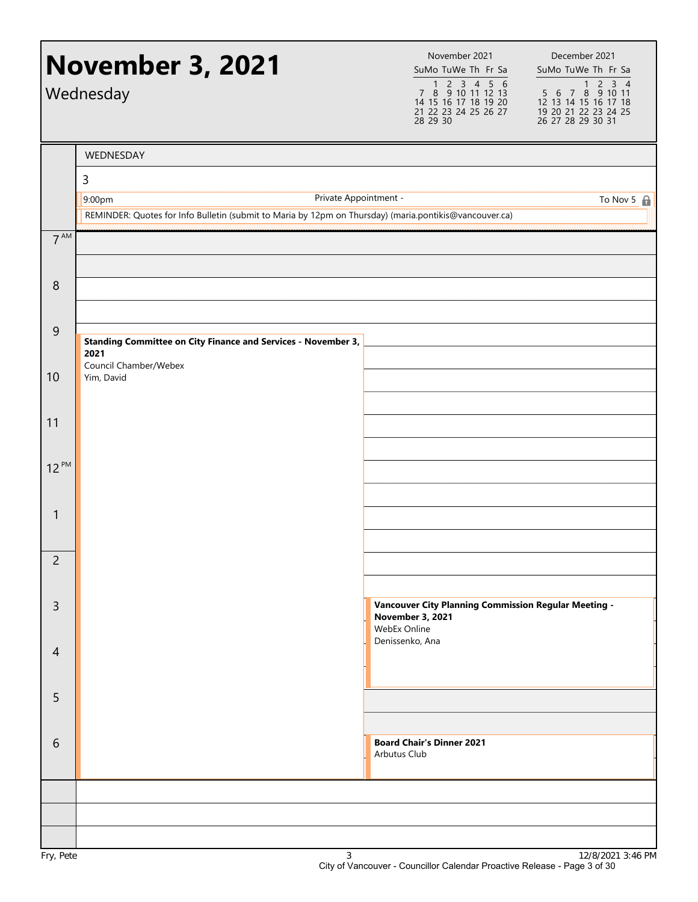|                 | <b>November 3, 2021</b><br>Wednesday                                                                   | November 2021<br>SuMo TuWe Th Fr Sa<br>1 2 3 4 5 6<br>7 8 9 10 11 12 13<br>14 15 16 17 18 19 20<br>21 22 23 24 25 26 27<br>28 29 30 | December 2021<br>SuMo TuWe Th Fr Sa<br>1 2 3 4<br>5 6 7 8 9 10 11<br>12 13 14 15 16 17 18<br>19 20 21 22 23 24 25<br>26 27 28 29 30 31 |
|-----------------|--------------------------------------------------------------------------------------------------------|-------------------------------------------------------------------------------------------------------------------------------------|----------------------------------------------------------------------------------------------------------------------------------------|
|                 | WEDNESDAY                                                                                              |                                                                                                                                     |                                                                                                                                        |
|                 | $\mathsf{3}$                                                                                           |                                                                                                                                     |                                                                                                                                        |
|                 | Private Appointment -<br>9:00pm                                                                        |                                                                                                                                     | To Nov 5 $\oplus$                                                                                                                      |
|                 | REMINDER: Quotes for Info Bulletin (submit to Maria by 12pm on Thursday) (maria.pontikis@vancouver.ca) |                                                                                                                                     |                                                                                                                                        |
| 7 <sup>AM</sup> |                                                                                                        |                                                                                                                                     |                                                                                                                                        |
| 8               |                                                                                                        |                                                                                                                                     |                                                                                                                                        |
|                 |                                                                                                        |                                                                                                                                     |                                                                                                                                        |
| $\overline{9}$  | Standing Committee on City Finance and Services - November 3,<br>2021                                  |                                                                                                                                     |                                                                                                                                        |
| 10              | Council Chamber/Webex<br>Yim, David                                                                    |                                                                                                                                     |                                                                                                                                        |
|                 |                                                                                                        |                                                                                                                                     |                                                                                                                                        |
| 11              |                                                                                                        |                                                                                                                                     |                                                                                                                                        |
|                 |                                                                                                        |                                                                                                                                     |                                                                                                                                        |
| $12^{PM}$       |                                                                                                        |                                                                                                                                     |                                                                                                                                        |
|                 |                                                                                                        |                                                                                                                                     |                                                                                                                                        |
| 1               |                                                                                                        |                                                                                                                                     |                                                                                                                                        |
|                 |                                                                                                        |                                                                                                                                     |                                                                                                                                        |
| $\overline{2}$  |                                                                                                        |                                                                                                                                     |                                                                                                                                        |
|                 |                                                                                                        |                                                                                                                                     |                                                                                                                                        |
| $\overline{3}$  |                                                                                                        | <b>Vancouver City Planning Commission Regular Meeting -</b><br><b>November 3, 2021</b><br>WebEx Online                              |                                                                                                                                        |
| $\overline{4}$  |                                                                                                        | Denissenko, Ana                                                                                                                     |                                                                                                                                        |
| 5               |                                                                                                        |                                                                                                                                     |                                                                                                                                        |
|                 |                                                                                                        |                                                                                                                                     |                                                                                                                                        |
| 6               |                                                                                                        | <b>Board Chair's Dinner 2021</b><br>Arbutus Club                                                                                    |                                                                                                                                        |
|                 |                                                                                                        |                                                                                                                                     |                                                                                                                                        |
|                 |                                                                                                        |                                                                                                                                     |                                                                                                                                        |
|                 |                                                                                                        |                                                                                                                                     |                                                                                                                                        |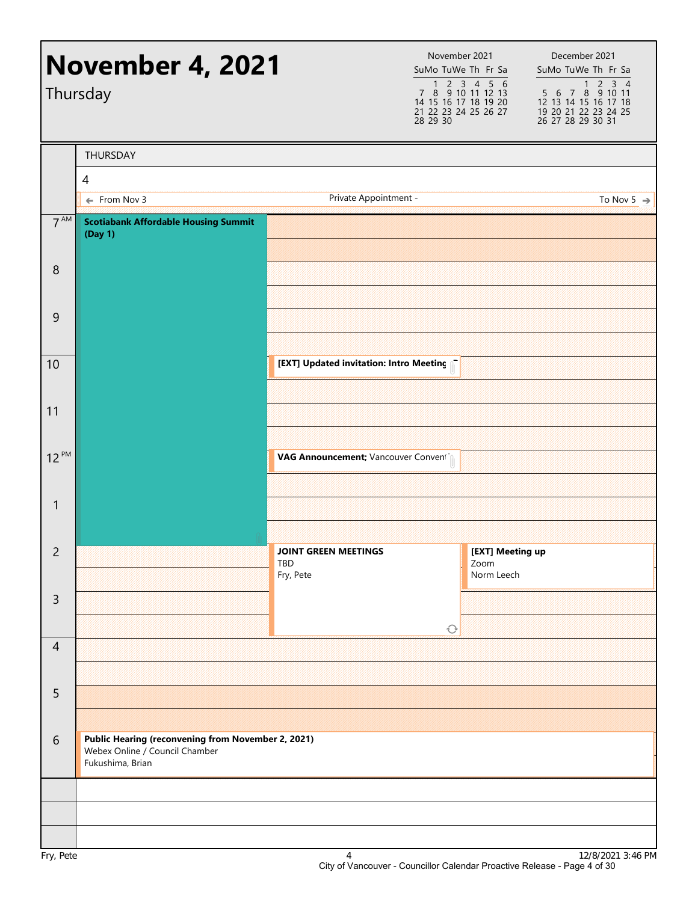|                 | <b>November 4, 2021</b><br>Thursday                                                                      |                                                 | November 2021<br>28 29 30 | SuMo TuWe Th Fr Sa<br>1 2 3 4 5 6<br>7 8 9 10 11 12 13<br>14 15 16 17 18 19 20<br>21 22 23 24 25 26 27 | December 2021<br>SuMo TuWe Th Fr Sa<br>$1 2 3 4$<br>5 6 7 8 9 10 11<br>12 13 14 15 16 17 18<br>19 20 21 22 23 24 25<br>26 27 28 29 30 31 |
|-----------------|----------------------------------------------------------------------------------------------------------|-------------------------------------------------|---------------------------|--------------------------------------------------------------------------------------------------------|------------------------------------------------------------------------------------------------------------------------------------------|
|                 | THURSDAY                                                                                                 |                                                 |                           |                                                                                                        |                                                                                                                                          |
|                 | 4                                                                                                        |                                                 |                           |                                                                                                        |                                                                                                                                          |
|                 | ← From Nov 3                                                                                             | Private Appointment -                           |                           |                                                                                                        | To Nov 5 $\Rightarrow$                                                                                                                   |
| $7^{\text{AM}}$ | <b>Scotiabank Affordable Housing Summit</b><br>(Day 1)                                                   |                                                 |                           |                                                                                                        |                                                                                                                                          |
| 8               |                                                                                                          |                                                 |                           |                                                                                                        |                                                                                                                                          |
| 9               |                                                                                                          |                                                 |                           |                                                                                                        |                                                                                                                                          |
| 10              |                                                                                                          | [EXT] Updated invitation: Intro Meeting         |                           |                                                                                                        |                                                                                                                                          |
| 11              |                                                                                                          |                                                 |                           |                                                                                                        |                                                                                                                                          |
| $12^{PM}$       |                                                                                                          | VAG Announcement; Vancouver Convening           |                           |                                                                                                        |                                                                                                                                          |
| $\mathbf{1}$    |                                                                                                          |                                                 |                           |                                                                                                        |                                                                                                                                          |
| $\overline{c}$  |                                                                                                          | <b>JOINT GREEN MEETINGS</b><br>TBD<br>Fry, Pete |                           | [EXT] Meeting up<br>Zoom<br>Norm Leech                                                                 |                                                                                                                                          |
| $\overline{3}$  |                                                                                                          |                                                 | $\bigcirc$                |                                                                                                        |                                                                                                                                          |
| $\overline{4}$  |                                                                                                          |                                                 |                           |                                                                                                        |                                                                                                                                          |
| 5               |                                                                                                          |                                                 |                           |                                                                                                        |                                                                                                                                          |
| $\sqrt{6}$      | Public Hearing (reconvening from November 2, 2021)<br>Webex Online / Council Chamber<br>Fukushima, Brian |                                                 |                           |                                                                                                        |                                                                                                                                          |
|                 |                                                                                                          |                                                 |                           |                                                                                                        |                                                                                                                                          |
|                 |                                                                                                          |                                                 |                           |                                                                                                        |                                                                                                                                          |
|                 |                                                                                                          |                                                 |                           |                                                                                                        |                                                                                                                                          |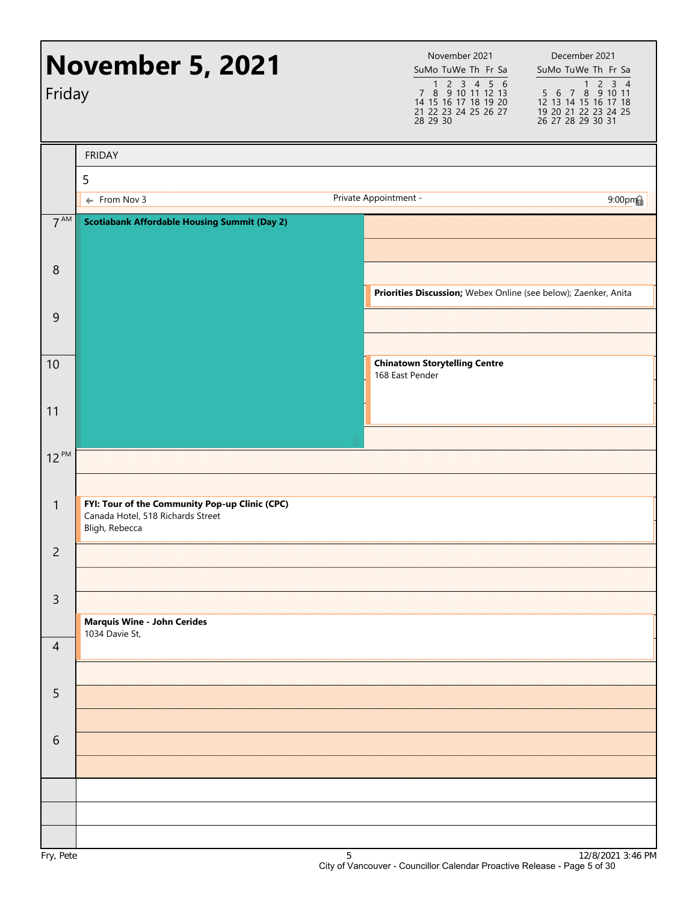| Friday          | <b>November 5, 2021</b>                                                                               | November 2021<br>SuMo TuWe Th Fr Sa<br>1 2 3 4 5 6<br>7 8 9 10 11 12 13<br>14 15 16 17 18 19 20<br>21 22 23 24 25 26 27<br>28 29 30 | December 2021<br>SuMo TuWe Th Fr Sa<br>$2 \quad 3 \quad 4$<br>$\mathbf{1}$<br>5 6 7 8 9 10 11<br>12 13 14 15 16 17 18<br>19 20 21 22 23 24 25<br>26 27 28 29 30 31 |
|-----------------|-------------------------------------------------------------------------------------------------------|-------------------------------------------------------------------------------------------------------------------------------------|--------------------------------------------------------------------------------------------------------------------------------------------------------------------|
|                 | <b>FRIDAY</b>                                                                                         |                                                                                                                                     |                                                                                                                                                                    |
|                 | 5                                                                                                     |                                                                                                                                     |                                                                                                                                                                    |
|                 | ← From Nov 3                                                                                          | Private Appointment -                                                                                                               | $9:00$ pm                                                                                                                                                          |
| 7 <sup>AM</sup> | <b>Scotiabank Affordable Housing Summit (Day 2)</b>                                                   |                                                                                                                                     |                                                                                                                                                                    |
| 8               |                                                                                                       | Priorities Discussion; Webex Online (see below); Zaenker, Anita                                                                     |                                                                                                                                                                    |
| $\overline{9}$  |                                                                                                       |                                                                                                                                     |                                                                                                                                                                    |
| 10              |                                                                                                       | <b>Chinatown Storytelling Centre</b><br>168 East Pender                                                                             |                                                                                                                                                                    |
| 11              |                                                                                                       |                                                                                                                                     |                                                                                                                                                                    |
| $12^{PM}$       |                                                                                                       |                                                                                                                                     |                                                                                                                                                                    |
| $\mathbf{1}$    | FYI: Tour of the Community Pop-up Clinic (CPC)<br>Canada Hotel, 518 Richards Street<br>Bligh, Rebecca |                                                                                                                                     |                                                                                                                                                                    |
| $\overline{2}$  |                                                                                                       |                                                                                                                                     |                                                                                                                                                                    |
| $\mathsf{3}$    | <b>Marquis Wine - John Cerides</b>                                                                    |                                                                                                                                     |                                                                                                                                                                    |
| $\overline{4}$  | 1034 Davie St,                                                                                        |                                                                                                                                     |                                                                                                                                                                    |
| 5               |                                                                                                       |                                                                                                                                     |                                                                                                                                                                    |
| 6               |                                                                                                       |                                                                                                                                     |                                                                                                                                                                    |
|                 |                                                                                                       |                                                                                                                                     |                                                                                                                                                                    |
|                 |                                                                                                       |                                                                                                                                     |                                                                                                                                                                    |
|                 |                                                                                                       |                                                                                                                                     |                                                                                                                                                                    |
|                 |                                                                                                       |                                                                                                                                     |                                                                                                                                                                    |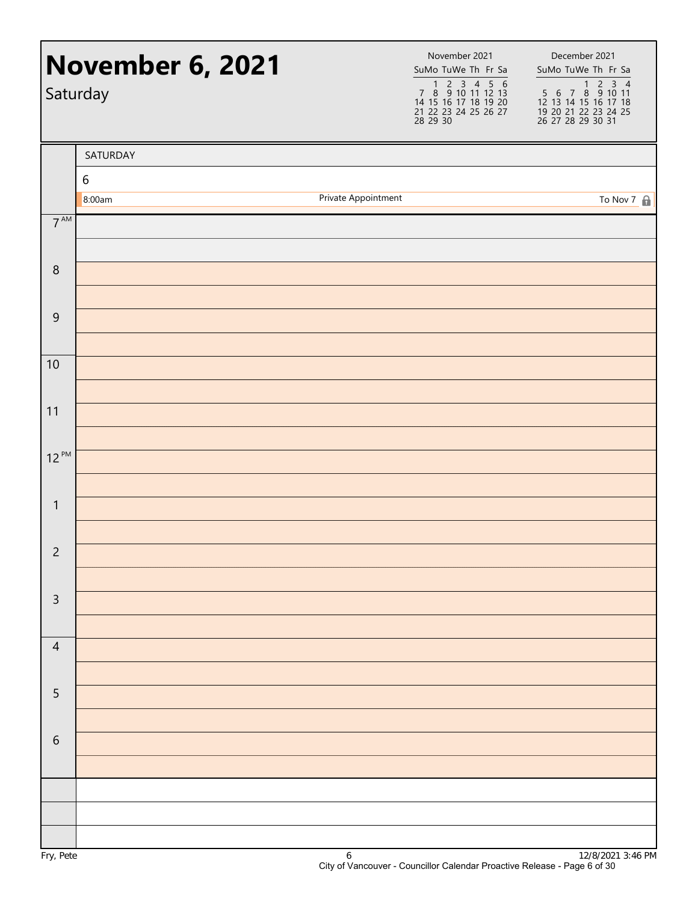|                  | <b>November 6, 2021</b><br>Saturday |                     | November 2021<br>SuMo TuWe Th Fr Sa<br>1 2 3 4 5 6<br>7 8 9 10 11 12 13<br>14 15 16 17 18 19 20<br>21 22 23 24 25 26 27<br>28 29 30 | December 2021<br>SuMo TuWe Th Fr Sa<br>1 2 3 4<br>5 6 7 8 9 10 11<br>12 13 14 15 16 17 18<br>19 20 21 22 23 24 25<br>26 27 28 29 30 31 |
|------------------|-------------------------------------|---------------------|-------------------------------------------------------------------------------------------------------------------------------------|----------------------------------------------------------------------------------------------------------------------------------------|
|                  | SATURDAY                            |                     |                                                                                                                                     |                                                                                                                                        |
|                  | $\boldsymbol{6}$                    |                     |                                                                                                                                     |                                                                                                                                        |
| 7 <sup>AM</sup>  | 8:00am                              | Private Appointment |                                                                                                                                     | To Nov $7 \oplus$                                                                                                                      |
|                  |                                     |                     |                                                                                                                                     |                                                                                                                                        |
| $\,8\,$          |                                     |                     |                                                                                                                                     |                                                                                                                                        |
|                  |                                     |                     |                                                                                                                                     |                                                                                                                                        |
| $\boldsymbol{9}$ |                                     |                     |                                                                                                                                     |                                                                                                                                        |
| 10               |                                     |                     |                                                                                                                                     |                                                                                                                                        |
|                  |                                     |                     |                                                                                                                                     |                                                                                                                                        |
| 11               |                                     |                     |                                                                                                                                     |                                                                                                                                        |
| $12^{PM}$        |                                     |                     |                                                                                                                                     |                                                                                                                                        |
|                  |                                     |                     |                                                                                                                                     |                                                                                                                                        |
| $\mathbf{1}$     |                                     |                     |                                                                                                                                     |                                                                                                                                        |
|                  |                                     |                     |                                                                                                                                     |                                                                                                                                        |
| $\overline{2}$   |                                     |                     |                                                                                                                                     |                                                                                                                                        |
| $\overline{3}$   |                                     |                     |                                                                                                                                     |                                                                                                                                        |
|                  |                                     |                     |                                                                                                                                     |                                                                                                                                        |
| $\overline{4}$   |                                     |                     |                                                                                                                                     |                                                                                                                                        |
| 5                |                                     |                     |                                                                                                                                     |                                                                                                                                        |
|                  |                                     |                     |                                                                                                                                     |                                                                                                                                        |
| $\,$ 6 $\,$      |                                     |                     |                                                                                                                                     |                                                                                                                                        |
|                  |                                     |                     |                                                                                                                                     |                                                                                                                                        |
|                  |                                     |                     |                                                                                                                                     |                                                                                                                                        |
|                  |                                     |                     |                                                                                                                                     |                                                                                                                                        |
|                  |                                     |                     |                                                                                                                                     |                                                                                                                                        |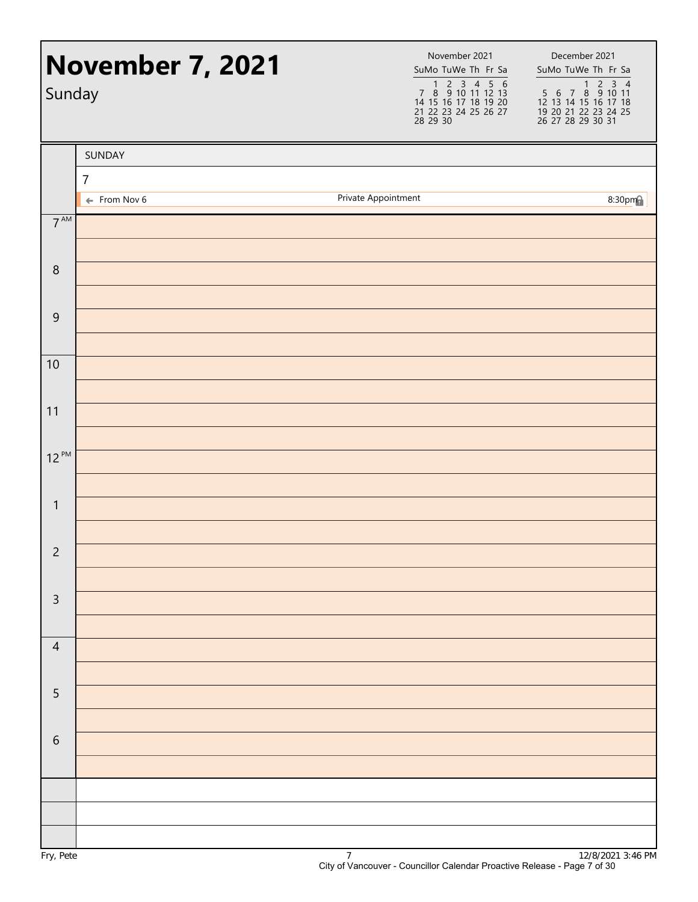| Sunday          | <b>November 7, 2021</b> | 28 29 30            | November 2021<br>SuMo TuWe Th Fr Sa<br>1 2 3 4 5 6<br>7 8 9 10 11 12 13<br>14 15 16 17 18 19 20<br>21 22 23 24 25 26 27 | December 2021<br>SuMo TuWe Th Fr Sa |
|-----------------|-------------------------|---------------------|-------------------------------------------------------------------------------------------------------------------------|-------------------------------------|
|                 | SUNDAY                  |                     |                                                                                                                         |                                     |
|                 | $\overline{7}$          |                     |                                                                                                                         |                                     |
|                 | $\leftarrow$ From Nov 6 | Private Appointment |                                                                                                                         | 8:30pm                              |
| $7^{\text{AM}}$ |                         |                     |                                                                                                                         |                                     |
| $\,8\,$         |                         |                     |                                                                                                                         |                                     |
| $\overline{9}$  |                         |                     |                                                                                                                         |                                     |
| 10              |                         |                     |                                                                                                                         |                                     |
| 11              |                         |                     |                                                                                                                         |                                     |
|                 |                         |                     |                                                                                                                         |                                     |
| $12^{PM}$       |                         |                     |                                                                                                                         |                                     |
| $\mathbf{1}$    |                         |                     |                                                                                                                         |                                     |
| $\overline{2}$  |                         |                     |                                                                                                                         |                                     |
| $\mathsf 3$     |                         |                     |                                                                                                                         |                                     |
| $\overline{4}$  |                         |                     |                                                                                                                         |                                     |
| $\overline{5}$  |                         |                     |                                                                                                                         |                                     |
| $\sqrt{6}$      |                         |                     |                                                                                                                         |                                     |
|                 |                         |                     |                                                                                                                         |                                     |
|                 |                         |                     |                                                                                                                         |                                     |
|                 |                         |                     |                                                                                                                         |                                     |
|                 |                         |                     |                                                                                                                         |                                     |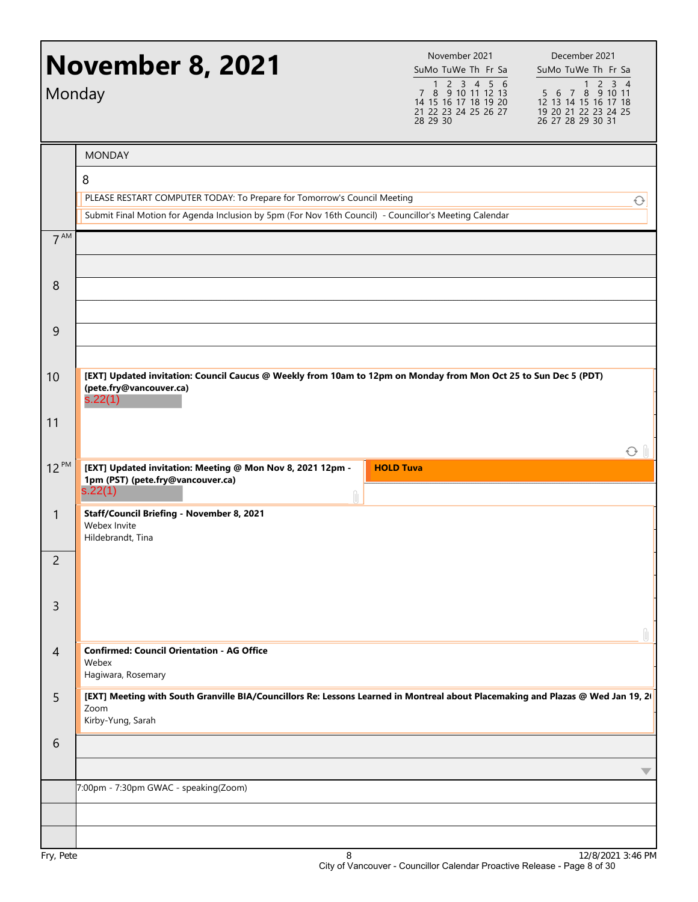| Monday          | <b>November 8, 2021</b>                                                                                                                                                                 | November 2021<br>SuMo TuWe Th Fr Sa<br>1 2 3 4 5 6<br>7 8 9 10 11 12 13<br>14 15 16 17 18 19 20<br>21 22 23 24 25 26 27<br>28 29 30 | December 2021<br>SuMo TuWe Th Fr Sa<br>$2 \quad 3 \quad 4$<br>1<br>5 6 7 8 9 10 11<br>12 13 14 15 16 17 18<br>19 20 21 22 23 24 25<br>26 27 28 29 30 31 |
|-----------------|-----------------------------------------------------------------------------------------------------------------------------------------------------------------------------------------|-------------------------------------------------------------------------------------------------------------------------------------|---------------------------------------------------------------------------------------------------------------------------------------------------------|
|                 | <b>MONDAY</b>                                                                                                                                                                           |                                                                                                                                     |                                                                                                                                                         |
|                 | 8<br>PLEASE RESTART COMPUTER TODAY: To Prepare for Tomorrow's Council Meeting<br>Submit Final Motion for Agenda Inclusion by 5pm (For Nov 16th Council) - Councillor's Meeting Calendar |                                                                                                                                     | ↔                                                                                                                                                       |
| 7 <sup>AM</sup> |                                                                                                                                                                                         |                                                                                                                                     |                                                                                                                                                         |
| 8               |                                                                                                                                                                                         |                                                                                                                                     |                                                                                                                                                         |
| 9               |                                                                                                                                                                                         |                                                                                                                                     |                                                                                                                                                         |
| 10              | [EXT] Updated invitation: Council Caucus @ Weekly from 10am to 12pm on Monday from Mon Oct 25 to Sun Dec 5 (PDT)<br>(pete.fry@vancouver.ca)<br>s.22(1)                                  |                                                                                                                                     |                                                                                                                                                         |
| 11              |                                                                                                                                                                                         |                                                                                                                                     | $\odot$ 11                                                                                                                                              |
| 12 PM           | [EXT] Updated invitation: Meeting @ Mon Nov 8, 2021 12pm -<br>1pm (PST) (pete.fry@vancouver.ca)<br>s.22(1)                                                                              | <b>HOLD Tuva</b>                                                                                                                    |                                                                                                                                                         |
| $\mathbf{1}$    | Staff/Council Briefing - November 8, 2021<br>Webex Invite<br>Hildebrandt, Tina                                                                                                          |                                                                                                                                     |                                                                                                                                                         |
| 2               |                                                                                                                                                                                         |                                                                                                                                     |                                                                                                                                                         |
| $\overline{3}$  |                                                                                                                                                                                         |                                                                                                                                     |                                                                                                                                                         |
| $\overline{4}$  | <b>Confirmed: Council Orientation - AG Office</b><br>Webex<br>Hagiwara, Rosemary                                                                                                        |                                                                                                                                     |                                                                                                                                                         |
| 5               | [EXT] Meeting with South Granville BIA/Councillors Re: Lessons Learned in Montreal about Placemaking and Plazas @ Wed Jan 19, 2<br>Zoom<br>Kirby-Yung, Sarah                            |                                                                                                                                     |                                                                                                                                                         |
| 6               |                                                                                                                                                                                         |                                                                                                                                     |                                                                                                                                                         |
|                 | 7:00pm - 7:30pm GWAC - speaking(Zoom)                                                                                                                                                   |                                                                                                                                     |                                                                                                                                                         |
|                 |                                                                                                                                                                                         |                                                                                                                                     |                                                                                                                                                         |
|                 |                                                                                                                                                                                         |                                                                                                                                     |                                                                                                                                                         |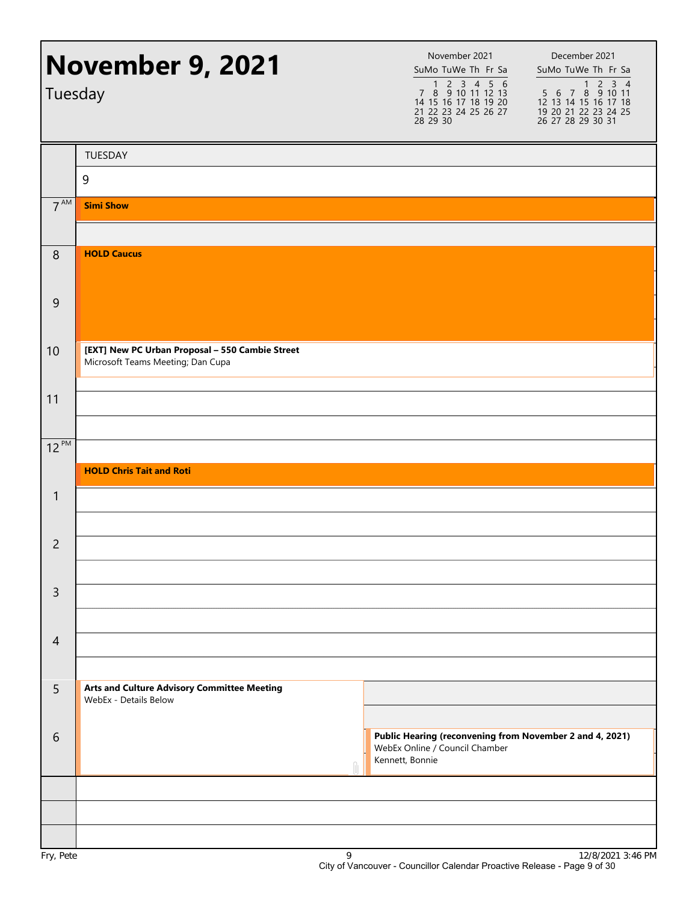| <b>November 9, 2021</b><br>Tuesday |                                                                                      | November 2021<br>SuMo TuWe Th Fr Sa<br>1 2 3 4 5 6<br>7 8 9 10 11 12 13<br>14 15 16 17 18 19 20<br>21 22 23 24 25 26 27<br>28 29 30 | December 2021<br>SuMo TuWe Th Fr Sa<br>1 2 3 4<br>5 6 7 8 9 10 11<br>12 13 14 15 16 17 18<br>19 20 21 22 23 24 25<br>26 27 28 29 30 31 |
|------------------------------------|--------------------------------------------------------------------------------------|-------------------------------------------------------------------------------------------------------------------------------------|----------------------------------------------------------------------------------------------------------------------------------------|
|                                    | <b>TUESDAY</b>                                                                       |                                                                                                                                     |                                                                                                                                        |
|                                    | 9                                                                                    |                                                                                                                                     |                                                                                                                                        |
| $7^{\text{AM}}$                    | <b>Simi Show</b>                                                                     |                                                                                                                                     |                                                                                                                                        |
| 8                                  | <b>HOLD Caucus</b>                                                                   |                                                                                                                                     |                                                                                                                                        |
| $\overline{9}$                     |                                                                                      |                                                                                                                                     |                                                                                                                                        |
| 10                                 | [EXT] New PC Urban Proposal - 550 Cambie Street<br>Microsoft Teams Meeting; Dan Cupa |                                                                                                                                     |                                                                                                                                        |
| 11                                 |                                                                                      |                                                                                                                                     |                                                                                                                                        |
| $12^{PM}$                          |                                                                                      |                                                                                                                                     |                                                                                                                                        |
|                                    | <b>HOLD Chris Tait and Roti</b>                                                      |                                                                                                                                     |                                                                                                                                        |
| $\mathbf{1}$                       |                                                                                      |                                                                                                                                     |                                                                                                                                        |
| $\overline{c}$                     |                                                                                      |                                                                                                                                     |                                                                                                                                        |
| $\mathsf{3}$                       |                                                                                      |                                                                                                                                     |                                                                                                                                        |
| $\overline{4}$                     |                                                                                      |                                                                                                                                     |                                                                                                                                        |
| 5                                  | <b>Arts and Culture Advisory Committee Meeting</b><br>WebEx - Details Below          |                                                                                                                                     |                                                                                                                                        |
| 6                                  |                                                                                      | Public Hearing (reconvening from November 2 and 4, 2021)<br>WebEx Online / Council Chamber<br>Kennett, Bonnie                       |                                                                                                                                        |
|                                    |                                                                                      |                                                                                                                                     |                                                                                                                                        |
|                                    |                                                                                      |                                                                                                                                     |                                                                                                                                        |
|                                    |                                                                                      |                                                                                                                                     |                                                                                                                                        |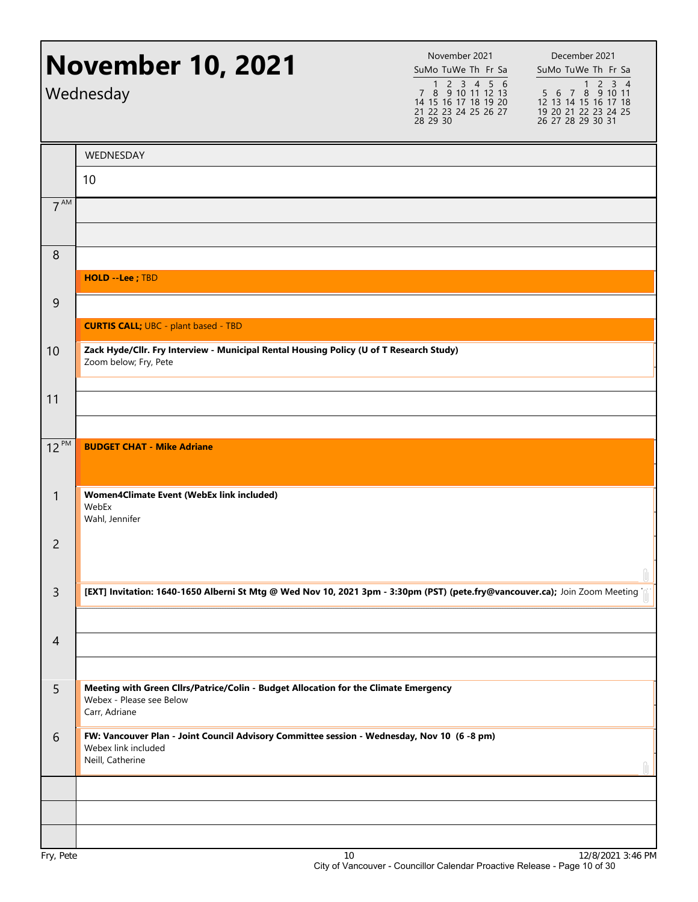|                 | <b>November 10, 2021</b><br>Wednesday                                                                                                  | November 2021<br>SuMo TuWe Th Fr Sa<br>$1 2 3 4 5 6$<br>7 8 9 10 11 12 13<br>14 15 16 17 18 19 20<br>21 22 23 24 25 26 27<br>28 29 30 | December 2021<br>SuMo TuWe Th Fr Sa<br>$1 2 3 4$<br>5 6 7 8 9 10 11<br>12 13 14 15 16 17 18<br>19 20 21 22 23 24 25<br>26 27 28 29 30 31 |
|-----------------|----------------------------------------------------------------------------------------------------------------------------------------|---------------------------------------------------------------------------------------------------------------------------------------|------------------------------------------------------------------------------------------------------------------------------------------|
|                 | WEDNESDAY                                                                                                                              |                                                                                                                                       |                                                                                                                                          |
|                 | 10                                                                                                                                     |                                                                                                                                       |                                                                                                                                          |
| 7 <sup>AM</sup> |                                                                                                                                        |                                                                                                                                       |                                                                                                                                          |
|                 |                                                                                                                                        |                                                                                                                                       |                                                                                                                                          |
| 8               |                                                                                                                                        |                                                                                                                                       |                                                                                                                                          |
|                 | <b>HOLD --Lee</b> ; TBD                                                                                                                |                                                                                                                                       |                                                                                                                                          |
| $\overline{9}$  |                                                                                                                                        |                                                                                                                                       |                                                                                                                                          |
|                 | <b>CURTIS CALL; UBC - plant based - TBD</b>                                                                                            |                                                                                                                                       |                                                                                                                                          |
| 10              | Zack Hyde/Cllr. Fry Interview - Municipal Rental Housing Policy (U of T Research Study)<br>Zoom below; Fry, Pete                       |                                                                                                                                       |                                                                                                                                          |
| 11              |                                                                                                                                        |                                                                                                                                       |                                                                                                                                          |
|                 |                                                                                                                                        |                                                                                                                                       |                                                                                                                                          |
| $12^{PM}$       | <b>BUDGET CHAT - Mike Adriane</b>                                                                                                      |                                                                                                                                       |                                                                                                                                          |
| $\mathbf{1}$    | Women4Climate Event (WebEx link included)<br>WebEx<br>Wahl, Jennifer                                                                   |                                                                                                                                       |                                                                                                                                          |
| $\overline{c}$  |                                                                                                                                        |                                                                                                                                       |                                                                                                                                          |
| $\overline{3}$  | [EXT] Invitation: 1640-1650 Alberni St Mtg @ Wed Nov 10, 2021 3pm - 3:30pm (PST) (pete.fry@vancouver.ca); Join Zoom Meeting            |                                                                                                                                       |                                                                                                                                          |
| $\overline{4}$  |                                                                                                                                        |                                                                                                                                       |                                                                                                                                          |
| 5               | Meeting with Green Cllrs/Patrice/Colin - Budget Allocation for the Climate Emergency<br>Webex - Please see Below<br>Carr, Adriane      |                                                                                                                                       |                                                                                                                                          |
| 6               | FW: Vancouver Plan - Joint Council Advisory Committee session - Wednesday, Nov 10 (6 -8 pm)<br>Webex link included<br>Neill, Catherine |                                                                                                                                       |                                                                                                                                          |
|                 |                                                                                                                                        |                                                                                                                                       |                                                                                                                                          |
|                 |                                                                                                                                        |                                                                                                                                       |                                                                                                                                          |
|                 |                                                                                                                                        |                                                                                                                                       |                                                                                                                                          |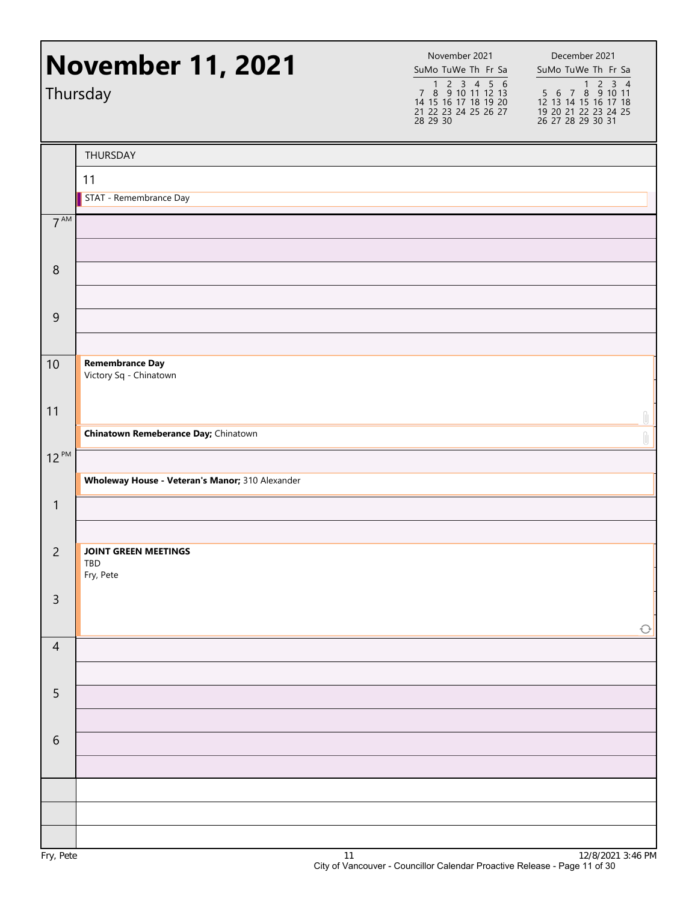|                  | <b>November 11, 2021</b><br>Thursday             | November 2021<br>SuMo TuWe Th Fr Sa<br>1 2 3 4 5 6<br>7 8 9 10 11 12 13<br>14 15 16 17 18 19 20<br>21 22 23 24 25 26 27<br>28 29 30 | December 2021<br>SuMo TuWe Th Fr Sa<br>1 2 3 4<br>5 6 7 8 9 10 11<br>12 13 14 15 16 17 18<br>19 20 21 22 23 24 25<br>26 27 28 29 30 31 |
|------------------|--------------------------------------------------|-------------------------------------------------------------------------------------------------------------------------------------|----------------------------------------------------------------------------------------------------------------------------------------|
|                  | THURSDAY                                         |                                                                                                                                     |                                                                                                                                        |
|                  | 11                                               |                                                                                                                                     |                                                                                                                                        |
|                  | STAT - Remembrance Day                           |                                                                                                                                     |                                                                                                                                        |
| $7^{\text{AM}}$  |                                                  |                                                                                                                                     |                                                                                                                                        |
| $\boldsymbol{8}$ |                                                  |                                                                                                                                     |                                                                                                                                        |
| $\overline{9}$   |                                                  |                                                                                                                                     |                                                                                                                                        |
| 10               | <b>Remembrance Day</b><br>Victory Sq - Chinatown |                                                                                                                                     |                                                                                                                                        |
| 11               | Chinatown Remeberance Day; Chinatown             |                                                                                                                                     |                                                                                                                                        |
| $12^{PM}$        |                                                  |                                                                                                                                     | $\mathbb{U}$                                                                                                                           |
|                  | Wholeway House - Veteran's Manor; 310 Alexander  |                                                                                                                                     |                                                                                                                                        |
| $\mathbf{1}$     |                                                  |                                                                                                                                     |                                                                                                                                        |
|                  |                                                  |                                                                                                                                     |                                                                                                                                        |
| $\overline{2}$   | <b>JOINT GREEN MEETINGS</b><br>TBD<br>Fry, Pete  |                                                                                                                                     |                                                                                                                                        |
| $\mathsf 3$      |                                                  |                                                                                                                                     | $\bigcirc$                                                                                                                             |
| $\overline{4}$   |                                                  |                                                                                                                                     |                                                                                                                                        |
| 5                |                                                  |                                                                                                                                     |                                                                                                                                        |
| $\sqrt{6}$       |                                                  |                                                                                                                                     |                                                                                                                                        |
|                  |                                                  |                                                                                                                                     |                                                                                                                                        |
|                  |                                                  |                                                                                                                                     |                                                                                                                                        |
|                  |                                                  |                                                                                                                                     |                                                                                                                                        |
|                  | $\ddot{\phantom{1}}$                             |                                                                                                                                     | 10/0/20212                                                                                                                             |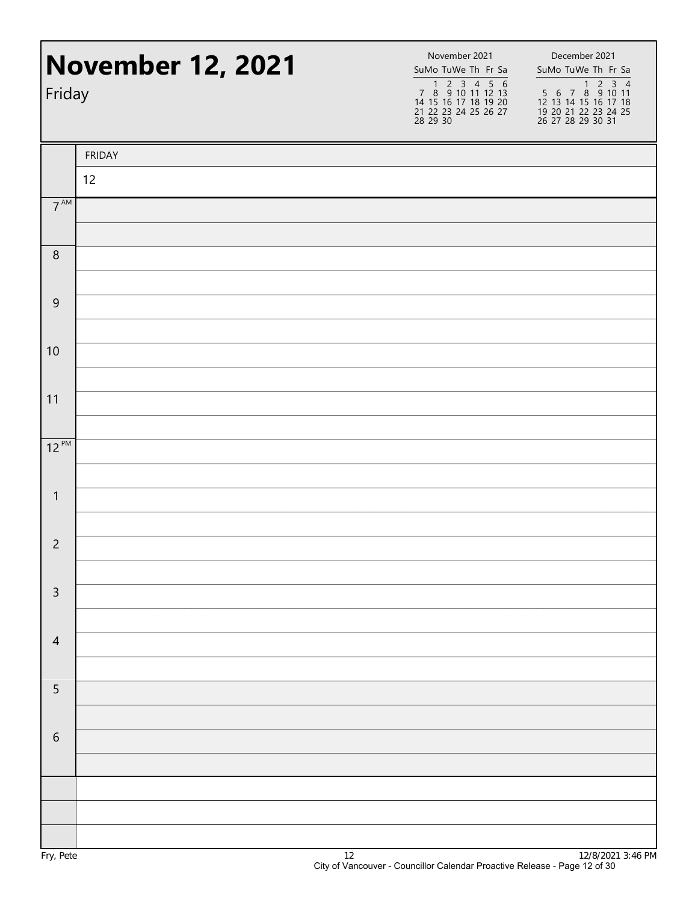| Friday           | <b>November 12, 2021</b> | November 2021<br>SuMo TuWe Th Fr Sa<br>1 2 3 4 5 6<br>7 8 9 10 11 12 13<br>14 15 16 17 18 19 20<br>21 22 23 24 25 26 27<br>28 29 30 | December 2021<br>SuMo TuWe Th Fr Sa<br>1 2 3 4<br>5 6 7 8 9 10 11<br>12 13 14 15 16 17 18<br>19 20 21 22 23 24 25<br>26 27 28 29 30 31 |  |
|------------------|--------------------------|-------------------------------------------------------------------------------------------------------------------------------------|----------------------------------------------------------------------------------------------------------------------------------------|--|
|                  | <b>FRIDAY</b>            |                                                                                                                                     |                                                                                                                                        |  |
|                  | 12                       |                                                                                                                                     |                                                                                                                                        |  |
| $7^{\text{AM}}$  |                          |                                                                                                                                     |                                                                                                                                        |  |
| $\,8\,$          |                          |                                                                                                                                     |                                                                                                                                        |  |
| $\boldsymbol{9}$ |                          |                                                                                                                                     |                                                                                                                                        |  |
| 10               |                          |                                                                                                                                     |                                                                                                                                        |  |
| 11               |                          |                                                                                                                                     |                                                                                                                                        |  |
| $12^{PM}$        |                          |                                                                                                                                     |                                                                                                                                        |  |
| $\mathbf{1}$     |                          |                                                                                                                                     |                                                                                                                                        |  |
| $\overline{c}$   |                          |                                                                                                                                     |                                                                                                                                        |  |
| $\mathsf{3}$     |                          |                                                                                                                                     |                                                                                                                                        |  |
| $\overline{4}$   |                          |                                                                                                                                     |                                                                                                                                        |  |
| 5                |                          |                                                                                                                                     |                                                                                                                                        |  |
|                  |                          |                                                                                                                                     |                                                                                                                                        |  |
| $\sqrt{6}$       |                          |                                                                                                                                     |                                                                                                                                        |  |
|                  |                          |                                                                                                                                     |                                                                                                                                        |  |
|                  |                          |                                                                                                                                     |                                                                                                                                        |  |
|                  |                          |                                                                                                                                     |                                                                                                                                        |  |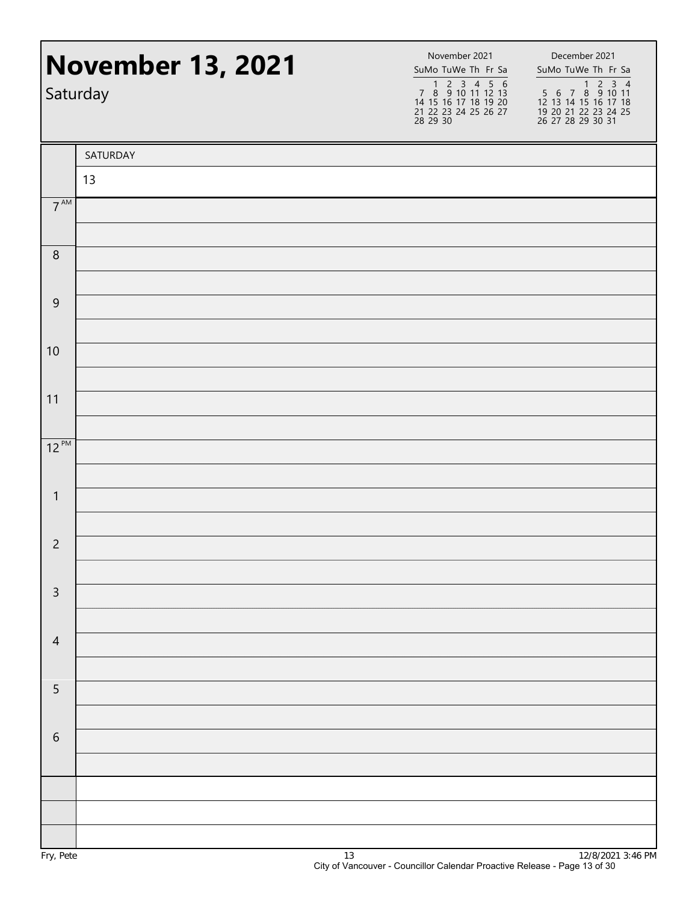|                  | <b>November 13, 2021</b><br>Saturday | November 2021<br>SuMo TuWe Th Fr Sa<br>7 8 9 10 11 12 13<br>14 15 16 17 18 19 20<br>21 22 23 24 25 26 27<br>28 29 30 | December 2021<br>SuMo TuWe Th Fr Sa<br>1 2 3 4<br>5 6 7 8 9 10 11<br>12 13 14 15 16 17 18<br>19 20 21 22 23 24 25<br>26 27 28 29 30 31 |
|------------------|--------------------------------------|----------------------------------------------------------------------------------------------------------------------|----------------------------------------------------------------------------------------------------------------------------------------|
|                  | SATURDAY                             |                                                                                                                      |                                                                                                                                        |
|                  | 13                                   |                                                                                                                      |                                                                                                                                        |
| $7^{\text{AM}}$  |                                      |                                                                                                                      |                                                                                                                                        |
| $\boldsymbol{8}$ |                                      |                                                                                                                      |                                                                                                                                        |
| $\overline{9}$   |                                      |                                                                                                                      |                                                                                                                                        |
| 10               |                                      |                                                                                                                      |                                                                                                                                        |
| 11               |                                      |                                                                                                                      |                                                                                                                                        |
| $12^{PM}$        |                                      |                                                                                                                      |                                                                                                                                        |
| $\mathbf{1}$     |                                      |                                                                                                                      |                                                                                                                                        |
| $\overline{2}$   |                                      |                                                                                                                      |                                                                                                                                        |
| $\mathsf{3}$     |                                      |                                                                                                                      |                                                                                                                                        |
| $\overline{4}$   |                                      |                                                                                                                      |                                                                                                                                        |
| $\sqrt{5}$       |                                      |                                                                                                                      |                                                                                                                                        |
| $\sqrt{6}$       |                                      |                                                                                                                      |                                                                                                                                        |
|                  |                                      |                                                                                                                      |                                                                                                                                        |
|                  |                                      |                                                                                                                      |                                                                                                                                        |
|                  |                                      |                                                                                                                      |                                                                                                                                        |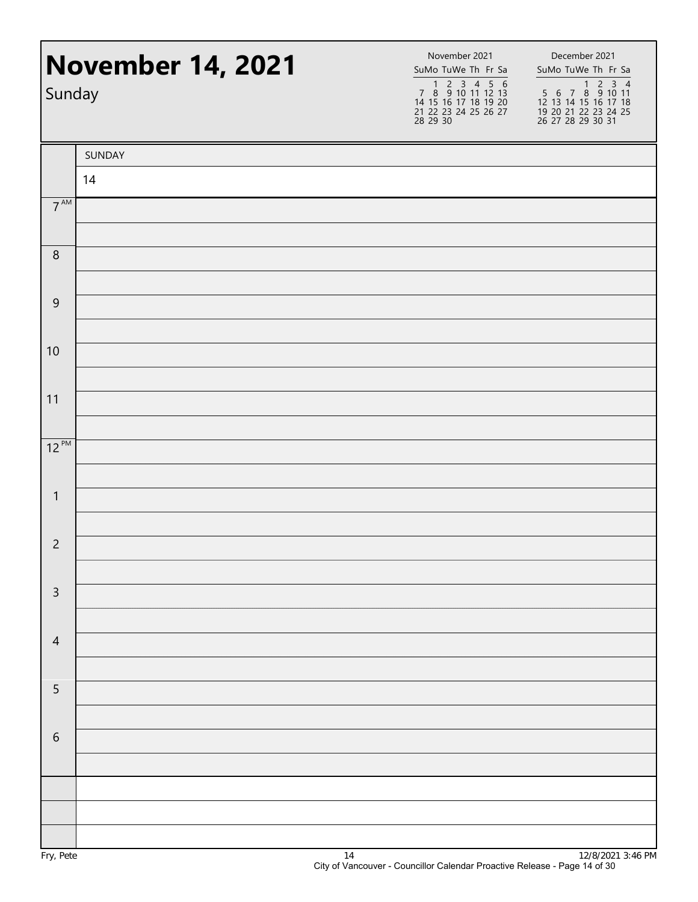| Sunday           | <b>November 14, 2021</b> | November 2021<br>SuMo TuWe Th Fr Sa<br>7 8 9 10 11 12 13<br>14 15 16 17 18 19 20<br>21 22 23 24 25 26 27<br>28 29 30 | December 2021<br>SuMo TuWe Th Fr Sa<br>1 2 3 4<br>5 6 7 8 9 10 11<br>12 13 14 15 16 17 18<br>19 20 21 22 23 24 25<br>26 27 28 29 30 31 |
|------------------|--------------------------|----------------------------------------------------------------------------------------------------------------------|----------------------------------------------------------------------------------------------------------------------------------------|
|                  | SUNDAY                   |                                                                                                                      |                                                                                                                                        |
|                  | 14                       |                                                                                                                      |                                                                                                                                        |
| $7^{\text{AM}}$  |                          |                                                                                                                      |                                                                                                                                        |
| $\boldsymbol{8}$ |                          |                                                                                                                      |                                                                                                                                        |
| $\overline{9}$   |                          |                                                                                                                      |                                                                                                                                        |
| 10               |                          |                                                                                                                      |                                                                                                                                        |
| 11               |                          |                                                                                                                      |                                                                                                                                        |
| $12^{PM}$        |                          |                                                                                                                      |                                                                                                                                        |
| $\mathbf{1}$     |                          |                                                                                                                      |                                                                                                                                        |
| $\overline{2}$   |                          |                                                                                                                      |                                                                                                                                        |
| $\mathsf{3}$     |                          |                                                                                                                      |                                                                                                                                        |
| $\overline{4}$   |                          |                                                                                                                      |                                                                                                                                        |
| $\sqrt{5}$       |                          |                                                                                                                      |                                                                                                                                        |
| $\sqrt{6}$       |                          |                                                                                                                      |                                                                                                                                        |
|                  |                          |                                                                                                                      |                                                                                                                                        |
|                  |                          |                                                                                                                      |                                                                                                                                        |
|                  |                          |                                                                                                                      |                                                                                                                                        |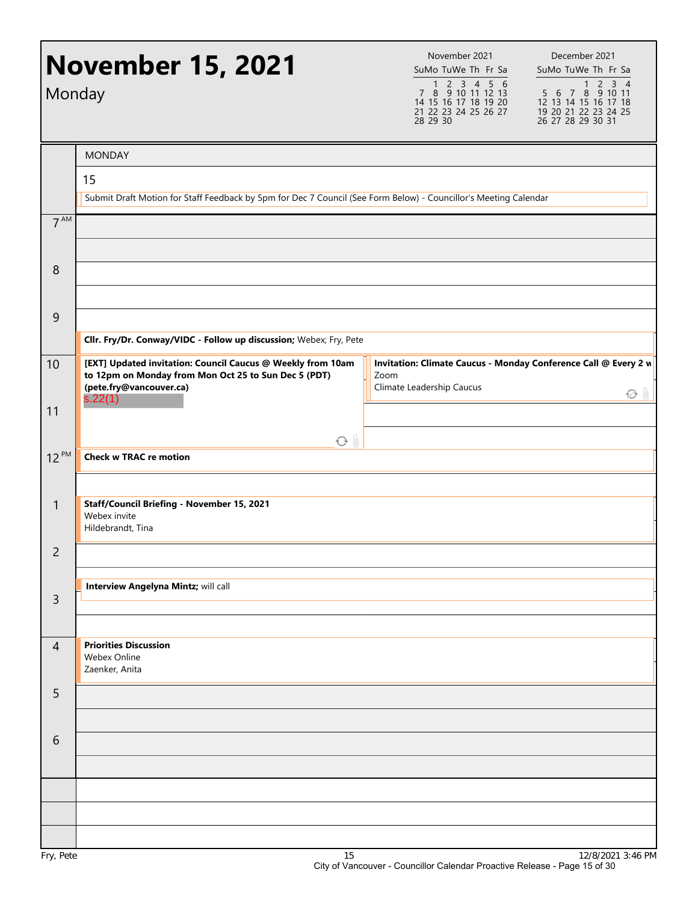| Monday          | <b>November 15, 2021</b>                                                                                                                       | November 2021<br>SuMo TuWe Th Fr Sa<br>1 2 3 4 5 6<br>7 8 9 10 11 12 13<br>14 15 16 17 18 19 20<br>21 22 23 24 25 26 27<br>28 29 30 | December 2021<br>SuMo TuWe Th Fr Sa<br>$5\overline{6}$ 7 $8\overline{9}$ 10 11<br>12 13 14 15 16 17 18<br>19 20 21 22 23 24 25<br>26 27 28 29 30 31 |
|-----------------|------------------------------------------------------------------------------------------------------------------------------------------------|-------------------------------------------------------------------------------------------------------------------------------------|-----------------------------------------------------------------------------------------------------------------------------------------------------|
|                 | <b>MONDAY</b>                                                                                                                                  |                                                                                                                                     |                                                                                                                                                     |
|                 | 15                                                                                                                                             |                                                                                                                                     |                                                                                                                                                     |
|                 | Submit Draft Motion for Staff Feedback by 5pm for Dec 7 Council (See Form Below) - Councillor's Meeting Calendar                               |                                                                                                                                     |                                                                                                                                                     |
| 7 <sup>AM</sup> |                                                                                                                                                |                                                                                                                                     |                                                                                                                                                     |
| 8               |                                                                                                                                                |                                                                                                                                     |                                                                                                                                                     |
| 9               |                                                                                                                                                |                                                                                                                                     |                                                                                                                                                     |
|                 | Cllr. Fry/Dr. Conway/VIDC - Follow up discussion; Webex; Fry, Pete                                                                             |                                                                                                                                     |                                                                                                                                                     |
| 10              | [EXT] Updated invitation: Council Caucus @ Weekly from 10am<br>to 12pm on Monday from Mon Oct 25 to Sun Dec 5 (PDT)<br>(pete.fry@vancouver.ca) | Invitation: Climate Caucus - Monday Conference Call @ Every 2 v<br>Zoom<br>Climate Leadership Caucus                                |                                                                                                                                                     |
| 11              | s.22(1)                                                                                                                                        |                                                                                                                                     | Ø I                                                                                                                                                 |
|                 | $\odot$ $\parallel$                                                                                                                            |                                                                                                                                     |                                                                                                                                                     |
| $12^{PM}$       | <b>Check w TRAC re motion</b>                                                                                                                  |                                                                                                                                     |                                                                                                                                                     |
|                 |                                                                                                                                                |                                                                                                                                     |                                                                                                                                                     |
| $\mathbf{1}$    | Staff/Council Briefing - November 15, 2021<br>Webex invite<br>Hildebrandt, Tina                                                                |                                                                                                                                     |                                                                                                                                                     |
| $\overline{c}$  |                                                                                                                                                |                                                                                                                                     |                                                                                                                                                     |
|                 | Interview Angelyna Mintz; will call                                                                                                            |                                                                                                                                     |                                                                                                                                                     |
| $\overline{3}$  |                                                                                                                                                |                                                                                                                                     |                                                                                                                                                     |
| $\overline{4}$  | <b>Priorities Discussion</b><br>Webex Online<br>Zaenker, Anita                                                                                 |                                                                                                                                     |                                                                                                                                                     |
| 5               |                                                                                                                                                |                                                                                                                                     |                                                                                                                                                     |
|                 |                                                                                                                                                |                                                                                                                                     |                                                                                                                                                     |
| 6               |                                                                                                                                                |                                                                                                                                     |                                                                                                                                                     |
|                 |                                                                                                                                                |                                                                                                                                     |                                                                                                                                                     |
|                 |                                                                                                                                                |                                                                                                                                     |                                                                                                                                                     |
|                 |                                                                                                                                                |                                                                                                                                     |                                                                                                                                                     |
|                 |                                                                                                                                                |                                                                                                                                     |                                                                                                                                                     |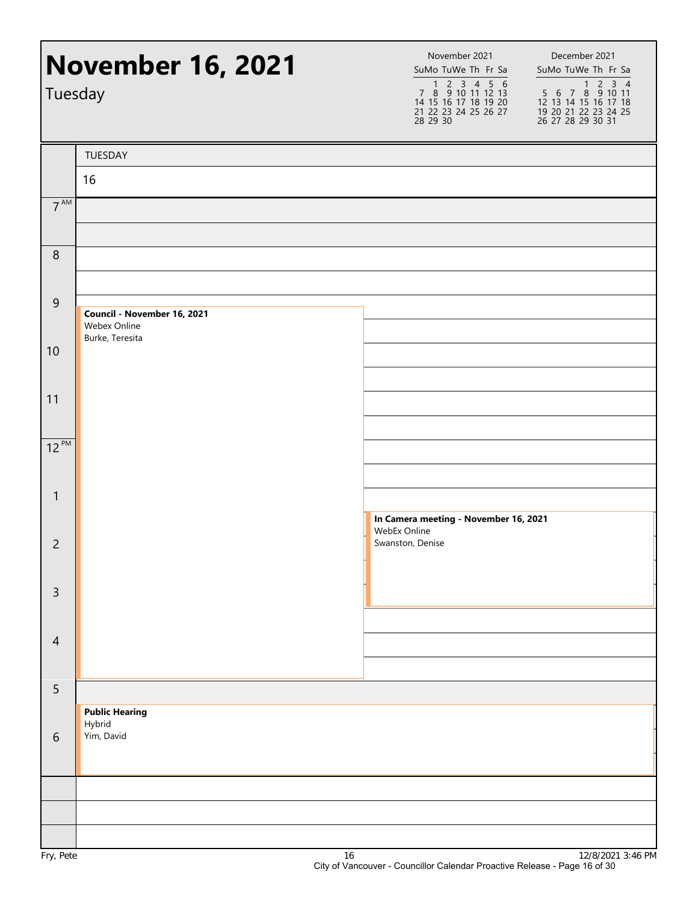| Tuesday         | <b>November 16, 2021</b>                                       | November 2021<br>December 2021<br>SuMo TuWe Th Fr Sa<br>SuMo TuWe Th Fr Sa<br>1 2 3 4 5 6<br>7 8 9 10 11 12 13<br>14 15 16 17 18 19 20<br>1 2 3 4<br>5 6 7 8 9 10 11<br>12 13 14 15 16 17 18<br>21 22 23 24 25 26 27<br>19 20 21 22 23 24 25<br>28 29 30<br>26 27 28 29 30 31 |
|-----------------|----------------------------------------------------------------|-------------------------------------------------------------------------------------------------------------------------------------------------------------------------------------------------------------------------------------------------------------------------------|
|                 | TUESDAY                                                        |                                                                                                                                                                                                                                                                               |
|                 | 16                                                             |                                                                                                                                                                                                                                                                               |
| 7 <sup>AM</sup> |                                                                |                                                                                                                                                                                                                                                                               |
| $\,8\,$         |                                                                |                                                                                                                                                                                                                                                                               |
| $\overline{9}$  | Council - November 16, 2021<br>Webex Online<br>Burke, Teresita |                                                                                                                                                                                                                                                                               |
| 10              |                                                                |                                                                                                                                                                                                                                                                               |
| 11              |                                                                |                                                                                                                                                                                                                                                                               |
| $12^{PM}$       |                                                                |                                                                                                                                                                                                                                                                               |
| $\mathbf{1}$    |                                                                | In Camera meeting - November 16, 2021<br>WebEx Online                                                                                                                                                                                                                         |
| $\overline{c}$  |                                                                | Swanston, Denise                                                                                                                                                                                                                                                              |
| $\overline{3}$  |                                                                |                                                                                                                                                                                                                                                                               |
| $\overline{4}$  |                                                                |                                                                                                                                                                                                                                                                               |
| 5               |                                                                |                                                                                                                                                                                                                                                                               |
| 6               | <b>Public Hearing</b><br>Hybrid<br>Yim, David                  |                                                                                                                                                                                                                                                                               |
|                 |                                                                |                                                                                                                                                                                                                                                                               |
| n.              | $\overline{1}$                                                 | 1210120212                                                                                                                                                                                                                                                                    |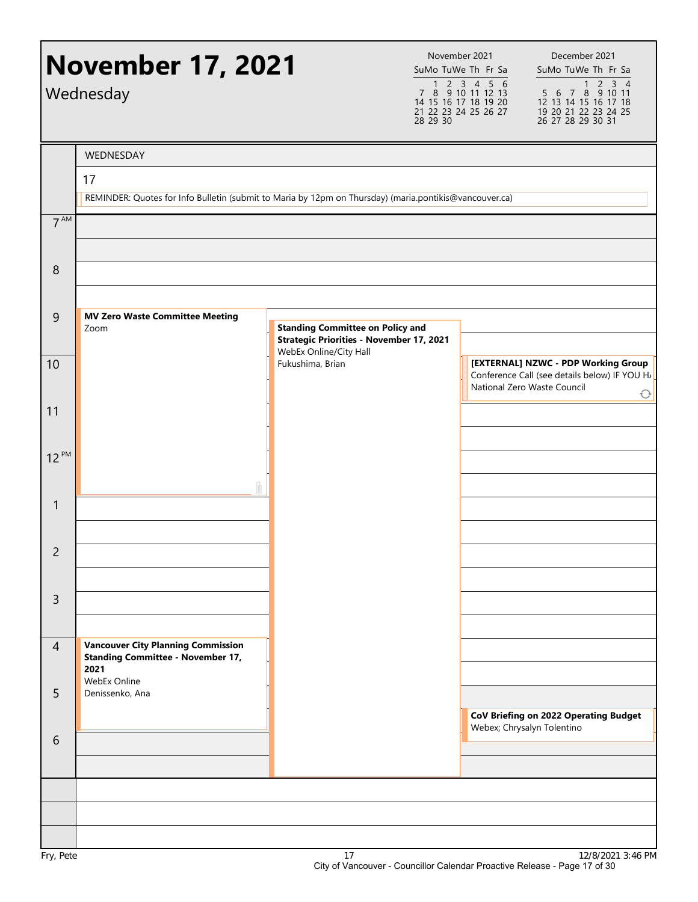|                 | <b>November 17, 2021</b><br>Wednesday                                                                         |                                                                                            | November 2021<br>SuMo TuWe Th Fr Sa<br>1 2 3 4 5 6<br>7 8 9 10 11 12 13<br>14 15 16 17 18 19 20<br>21 22 23 24 25 26 27<br>28 29 30 | December 2021<br>SuMo TuWe Th Fr Sa<br>1 2 3 4<br>5 6 7 8 9 10 11<br>12 13 14 15 16 17 18<br>19 20 21 22 23 24 25<br>26 27 28 29 30 31 |
|-----------------|---------------------------------------------------------------------------------------------------------------|--------------------------------------------------------------------------------------------|-------------------------------------------------------------------------------------------------------------------------------------|----------------------------------------------------------------------------------------------------------------------------------------|
|                 | WEDNESDAY                                                                                                     |                                                                                            |                                                                                                                                     |                                                                                                                                        |
|                 | 17                                                                                                            |                                                                                            |                                                                                                                                     |                                                                                                                                        |
|                 | REMINDER: Quotes for Info Bulletin (submit to Maria by 12pm on Thursday) (maria.pontikis@vancouver.ca)        |                                                                                            |                                                                                                                                     |                                                                                                                                        |
| 7 <sup>AM</sup> |                                                                                                               |                                                                                            |                                                                                                                                     |                                                                                                                                        |
| 8               |                                                                                                               |                                                                                            |                                                                                                                                     |                                                                                                                                        |
| $\overline{9}$  | <b>MV Zero Waste Committee Meeting</b><br>Zoom                                                                | <b>Standing Committee on Policy and</b><br><b>Strategic Priorities - November 17, 2021</b> |                                                                                                                                     |                                                                                                                                        |
| 10              |                                                                                                               | WebEx Online/City Hall<br>Fukushima, Brian                                                 |                                                                                                                                     | [EXTERNAL] NZWC - PDP Working Group<br>Conference Call (see details below) IF YOU H<br>National Zero Waste Council<br>€                |
| 11              |                                                                                                               |                                                                                            |                                                                                                                                     |                                                                                                                                        |
| $12^{PM}$       |                                                                                                               |                                                                                            |                                                                                                                                     |                                                                                                                                        |
| $\mathbf{1}$    |                                                                                                               |                                                                                            |                                                                                                                                     |                                                                                                                                        |
| $\overline{c}$  |                                                                                                               |                                                                                            |                                                                                                                                     |                                                                                                                                        |
| $\mathsf{3}$    |                                                                                                               |                                                                                            |                                                                                                                                     |                                                                                                                                        |
| $\overline{4}$  | <b>Vancouver City Planning Commission</b><br><b>Standing Committee - November 17,</b><br>2021<br>WebEx Online |                                                                                            |                                                                                                                                     |                                                                                                                                        |
| 5               | Denissenko, Ana                                                                                               |                                                                                            |                                                                                                                                     | CoV Briefing on 2022 Operating Budget<br>Webex; Chrysalyn Tolentino                                                                    |
| 6               |                                                                                                               |                                                                                            |                                                                                                                                     |                                                                                                                                        |
|                 |                                                                                                               |                                                                                            |                                                                                                                                     |                                                                                                                                        |
|                 |                                                                                                               |                                                                                            |                                                                                                                                     |                                                                                                                                        |
|                 |                                                                                                               |                                                                                            |                                                                                                                                     |                                                                                                                                        |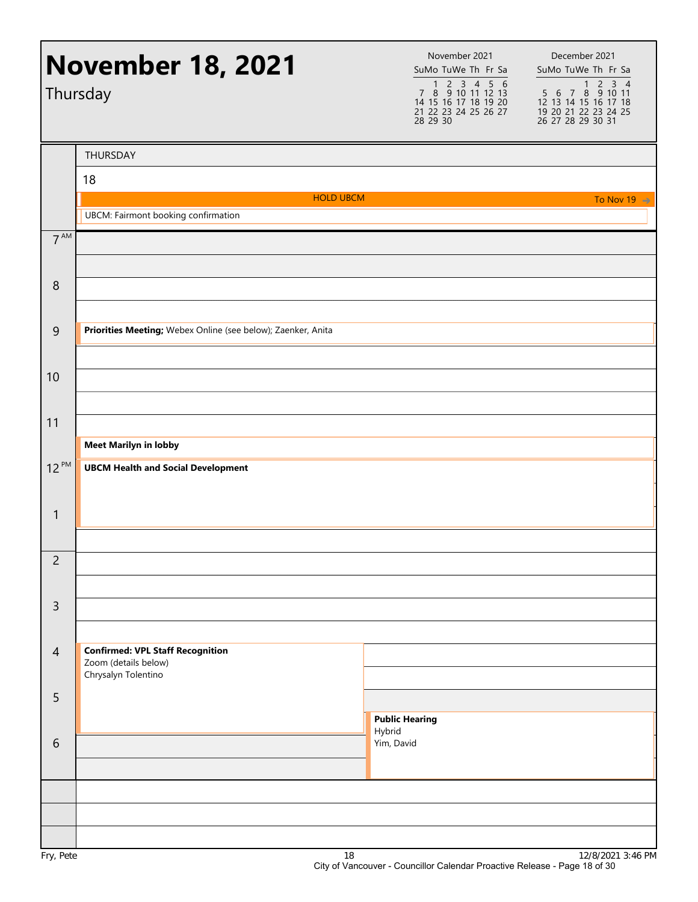|                 | <b>November 18, 2021</b><br>Thursday                         | November 2021<br>SuMo TuWe Th Fr Sa<br>1 2 3 4 5 6<br>7 8 9 10 11 12 13<br>14 15 16 17 18 19 20<br>21 22 23 24 25 26 27<br>28 29 30 | December 2021<br>SuMo TuWe Th Fr Sa<br>$1 \overline{2} \overline{3} \overline{4}$<br>5 6 7 8 9 10 11<br>12 13 14 15 16 17 18<br>19 20 21 22 23 24 25<br>26 27 28 29 30 31 |
|-----------------|--------------------------------------------------------------|-------------------------------------------------------------------------------------------------------------------------------------|---------------------------------------------------------------------------------------------------------------------------------------------------------------------------|
|                 | THURSDAY                                                     |                                                                                                                                     |                                                                                                                                                                           |
|                 | 18                                                           |                                                                                                                                     |                                                                                                                                                                           |
|                 | <b>HOLD UBCM</b>                                             |                                                                                                                                     | To Nov 19 $\Rightarrow$                                                                                                                                                   |
| 7 <sup>AM</sup> | <b>UBCM: Fairmont booking confirmation</b>                   |                                                                                                                                     |                                                                                                                                                                           |
|                 |                                                              |                                                                                                                                     |                                                                                                                                                                           |
| 8               |                                                              |                                                                                                                                     |                                                                                                                                                                           |
|                 |                                                              |                                                                                                                                     |                                                                                                                                                                           |
| $\overline{9}$  | Priorities Meeting; Webex Online (see below); Zaenker, Anita |                                                                                                                                     |                                                                                                                                                                           |
| 10              |                                                              |                                                                                                                                     |                                                                                                                                                                           |
|                 |                                                              |                                                                                                                                     |                                                                                                                                                                           |
| 11              |                                                              |                                                                                                                                     |                                                                                                                                                                           |
|                 | <b>Meet Marilyn in lobby</b>                                 |                                                                                                                                     |                                                                                                                                                                           |
| $12^{PM}$       | <b>UBCM Health and Social Development</b>                    |                                                                                                                                     |                                                                                                                                                                           |
| $\mathbf{1}$    |                                                              |                                                                                                                                     |                                                                                                                                                                           |
|                 |                                                              |                                                                                                                                     |                                                                                                                                                                           |
| $\overline{2}$  |                                                              |                                                                                                                                     |                                                                                                                                                                           |
|                 |                                                              |                                                                                                                                     |                                                                                                                                                                           |
| $\mathsf{3}$    |                                                              |                                                                                                                                     |                                                                                                                                                                           |
|                 |                                                              |                                                                                                                                     |                                                                                                                                                                           |
| $\overline{4}$  | <b>Confirmed: VPL Staff Recognition</b>                      |                                                                                                                                     |                                                                                                                                                                           |
|                 | Zoom (details below)<br>Chrysalyn Tolentino                  |                                                                                                                                     |                                                                                                                                                                           |
| 5               |                                                              |                                                                                                                                     |                                                                                                                                                                           |
|                 |                                                              | <b>Public Hearing</b>                                                                                                               |                                                                                                                                                                           |
| 6               |                                                              | Hybrid<br>Yim, David                                                                                                                |                                                                                                                                                                           |
|                 |                                                              |                                                                                                                                     |                                                                                                                                                                           |
|                 |                                                              |                                                                                                                                     |                                                                                                                                                                           |
|                 |                                                              |                                                                                                                                     |                                                                                                                                                                           |
| $Env$ $Dot$     | 10                                                           |                                                                                                                                     | $12/0/2021$ $2.14$ DN                                                                                                                                                     |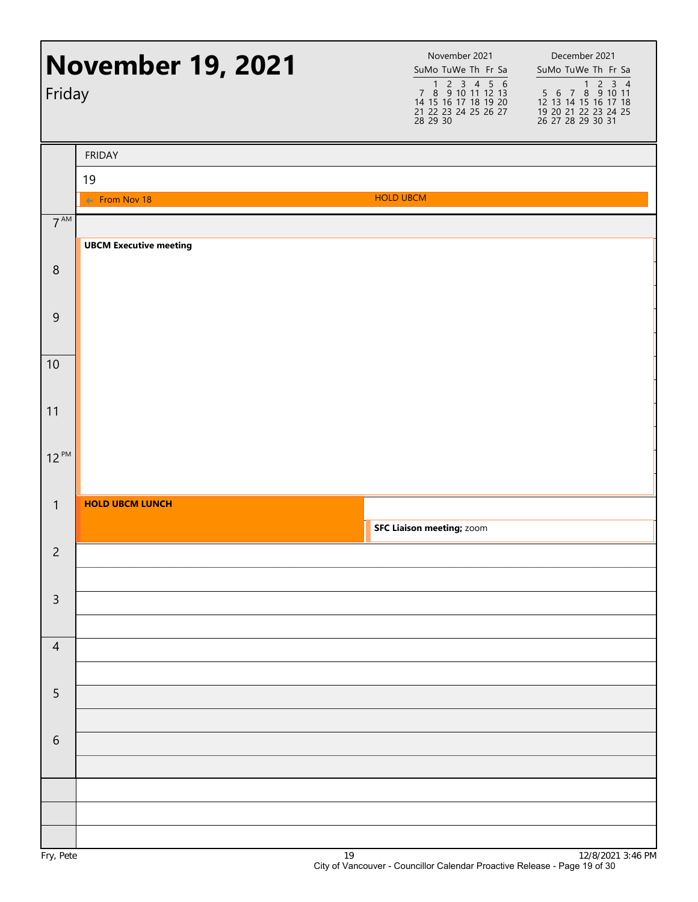| <b>November 19, 2021</b><br>Friday |                                | November 2021<br>SuMo TuWe Th Fr Sa<br>1 2 3 4 5 6<br>7 8 9 10 11 12 13<br>14 15 16 17 18 19 20<br>21 22 23 24 25 26 27<br>28 29 30 | December 2021<br>SuMo TuWe Th Fr Sa |
|------------------------------------|--------------------------------|-------------------------------------------------------------------------------------------------------------------------------------|-------------------------------------|
|                                    | <b>FRIDAY</b>                  |                                                                                                                                     |                                     |
|                                    | 19<br>$\leftarrow$ From Nov 18 | <b>HOLD UBCM</b>                                                                                                                    |                                     |
| $7^{\text{AM}}$                    |                                |                                                                                                                                     |                                     |
|                                    | <b>UBCM Executive meeting</b>  |                                                                                                                                     |                                     |
| $\,8\,$                            |                                |                                                                                                                                     |                                     |
|                                    |                                |                                                                                                                                     |                                     |
| $\overline{9}$                     |                                |                                                                                                                                     |                                     |
| 10                                 |                                |                                                                                                                                     |                                     |
|                                    |                                |                                                                                                                                     |                                     |
| 11                                 |                                |                                                                                                                                     |                                     |
| $12^{PM}$                          |                                |                                                                                                                                     |                                     |
|                                    |                                |                                                                                                                                     |                                     |
| $\mathbf{1}$                       | <b>HOLD UBCM LUNCH</b>         |                                                                                                                                     |                                     |
|                                    |                                | <b>SFC Liaison meeting; zoom</b>                                                                                                    |                                     |
| $\overline{2}$                     |                                |                                                                                                                                     |                                     |
| $\mathsf{3}$                       |                                |                                                                                                                                     |                                     |
|                                    |                                |                                                                                                                                     |                                     |
| $\overline{4}$                     |                                |                                                                                                                                     |                                     |
| 5                                  |                                |                                                                                                                                     |                                     |
|                                    |                                |                                                                                                                                     |                                     |
| 6                                  |                                |                                                                                                                                     |                                     |
|                                    |                                |                                                                                                                                     |                                     |
|                                    |                                |                                                                                                                                     |                                     |
|                                    |                                |                                                                                                                                     |                                     |
|                                    |                                |                                                                                                                                     |                                     |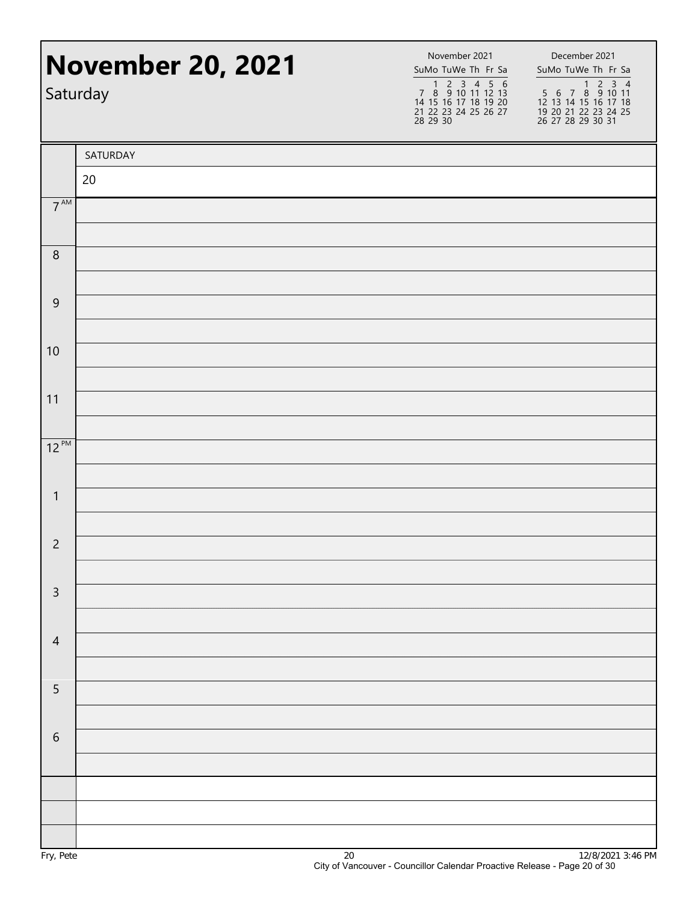|                 | <b>November 20, 2021</b><br>Saturday | November 2021<br>SuMo TuWe Th Fr Sa<br>1 2 3 4 5 6<br>7 8 9 10 11 12 13<br>14 15 16 17 18 19 20<br>21 22 23 24 25 26 27<br>28 29 30 | December 2021<br>SuMo TuWe Th Fr Sa<br>1 2 3 4<br>5 6 7 8 9 10 11<br>12 13 14 15 16 17 18<br>19 20 21 22 23 24 25<br>26 27 28 29 30 31 |
|-----------------|--------------------------------------|-------------------------------------------------------------------------------------------------------------------------------------|----------------------------------------------------------------------------------------------------------------------------------------|
|                 | SATURDAY                             |                                                                                                                                     |                                                                                                                                        |
|                 | 20                                   |                                                                                                                                     |                                                                                                                                        |
| 7 <sup>AM</sup> |                                      |                                                                                                                                     |                                                                                                                                        |
| $\,8\,$         |                                      |                                                                                                                                     |                                                                                                                                        |
| $\overline{9}$  |                                      |                                                                                                                                     |                                                                                                                                        |
| 10              |                                      |                                                                                                                                     |                                                                                                                                        |
| 11              |                                      |                                                                                                                                     |                                                                                                                                        |
| $12^{PM}$       |                                      |                                                                                                                                     |                                                                                                                                        |
| $\mathbf{1}$    |                                      |                                                                                                                                     |                                                                                                                                        |
| $\overline{c}$  |                                      |                                                                                                                                     |                                                                                                                                        |
| $\mathsf 3$     |                                      |                                                                                                                                     |                                                                                                                                        |
| $\overline{4}$  |                                      |                                                                                                                                     |                                                                                                                                        |
| $\overline{5}$  |                                      |                                                                                                                                     |                                                                                                                                        |
| $\sqrt{6}$      |                                      |                                                                                                                                     |                                                                                                                                        |
|                 |                                      |                                                                                                                                     |                                                                                                                                        |
|                 |                                      |                                                                                                                                     |                                                                                                                                        |
|                 |                                      |                                                                                                                                     |                                                                                                                                        |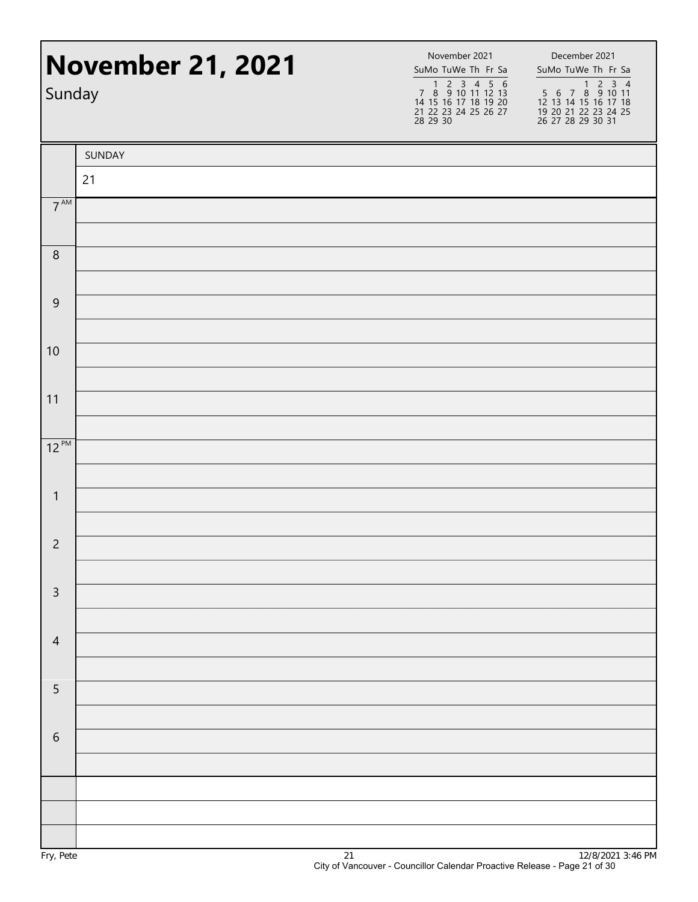| Sunday          | <b>November 21, 2021</b> | November 2021<br>SuMo TuWe Th Fr Sa<br>1 2 3 4 5 6<br>7 8 9 10 11 12 13<br>14 15 16 17 18 19 20<br>21 22 23 24 25 26 27<br>28 29 30 | December 2021<br>SuMo TuWe Th Fr Sa<br>1 2 3 4<br>5 6 7 8 9 10 11<br>12 13 14 15 16 17 18<br>19 20 21 22 23 24 25<br>26 27 28 29 30 31 |
|-----------------|--------------------------|-------------------------------------------------------------------------------------------------------------------------------------|----------------------------------------------------------------------------------------------------------------------------------------|
|                 | SUNDAY                   |                                                                                                                                     |                                                                                                                                        |
|                 | 21                       |                                                                                                                                     |                                                                                                                                        |
| $7^{\text{AM}}$ |                          |                                                                                                                                     |                                                                                                                                        |
| $\,8\,$         |                          |                                                                                                                                     |                                                                                                                                        |
| $\overline{9}$  |                          |                                                                                                                                     |                                                                                                                                        |
| 10              |                          |                                                                                                                                     |                                                                                                                                        |
| 11              |                          |                                                                                                                                     |                                                                                                                                        |
| $12^{PM}$       |                          |                                                                                                                                     |                                                                                                                                        |
| $\mathbf{1}$    |                          |                                                                                                                                     |                                                                                                                                        |
| $\overline{c}$  |                          |                                                                                                                                     |                                                                                                                                        |
| $\mathsf 3$     |                          |                                                                                                                                     |                                                                                                                                        |
| $\overline{4}$  |                          |                                                                                                                                     |                                                                                                                                        |
| 5               |                          |                                                                                                                                     |                                                                                                                                        |
| $\sqrt{6}$      |                          |                                                                                                                                     |                                                                                                                                        |
|                 |                          |                                                                                                                                     |                                                                                                                                        |
|                 |                          |                                                                                                                                     |                                                                                                                                        |
|                 |                          |                                                                                                                                     |                                                                                                                                        |
|                 |                          |                                                                                                                                     |                                                                                                                                        |
|                 |                          |                                                                                                                                     |                                                                                                                                        |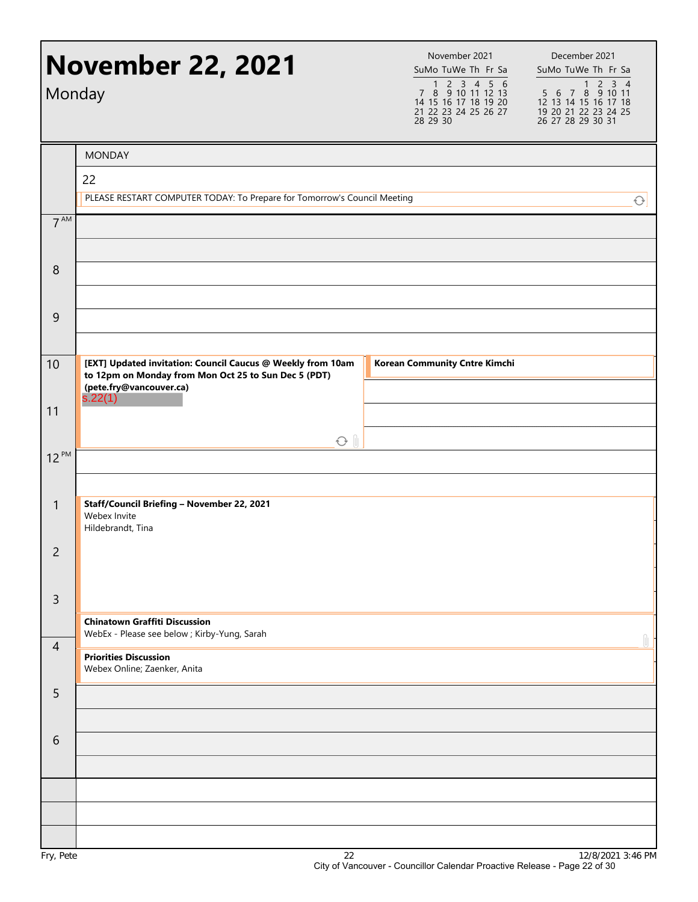|                       | <b>November 22, 2021</b><br>Monday                                                                                                                        | November 2021<br>SuMo TuWe Th Fr Sa<br>1 2 3 4 5 6<br>7 8 9 10 11 12 13<br>14 15 16 17 18 19 20<br>21 22 23 24 25 26 27<br>28 29 30 | December 2021<br>SuMo TuWe Th Fr Sa<br>$\frac{1}{5}$ 6 7 8 9 10 11<br>12 13 14 15 16 17 18<br>19 20 21 22 23 24 25<br>26 27 28 29 30 31 |
|-----------------------|-----------------------------------------------------------------------------------------------------------------------------------------------------------|-------------------------------------------------------------------------------------------------------------------------------------|-----------------------------------------------------------------------------------------------------------------------------------------|
|                       | <b>MONDAY</b>                                                                                                                                             |                                                                                                                                     |                                                                                                                                         |
|                       | 22                                                                                                                                                        |                                                                                                                                     |                                                                                                                                         |
|                       | PLEASE RESTART COMPUTER TODAY: To Prepare for Tomorrow's Council Meeting                                                                                  |                                                                                                                                     | $\bigcirc$                                                                                                                              |
| 7 <sup>AM</sup>       |                                                                                                                                                           |                                                                                                                                     |                                                                                                                                         |
| 8                     |                                                                                                                                                           |                                                                                                                                     |                                                                                                                                         |
| 9                     |                                                                                                                                                           |                                                                                                                                     |                                                                                                                                         |
| 10                    | [EXT] Updated invitation: Council Caucus @ Weekly from 10am<br>to 12pm on Monday from Mon Oct 25 to Sun Dec 5 (PDT)<br>(pete.fry@vancouver.ca)<br>s.22(1) | <b>Korean Community Cntre Kimchi</b>                                                                                                |                                                                                                                                         |
| 11                    |                                                                                                                                                           |                                                                                                                                     |                                                                                                                                         |
| $12^{PM}$             | $O$ $\parallel$                                                                                                                                           |                                                                                                                                     |                                                                                                                                         |
|                       |                                                                                                                                                           |                                                                                                                                     |                                                                                                                                         |
| $\mathbf{1}$          | Staff/Council Briefing - November 22, 2021<br>Webex Invite<br>Hildebrandt, Tina                                                                           |                                                                                                                                     |                                                                                                                                         |
| $\overline{c}$        |                                                                                                                                                           |                                                                                                                                     |                                                                                                                                         |
| $\overline{3}$        |                                                                                                                                                           |                                                                                                                                     |                                                                                                                                         |
|                       | <b>Chinatown Graffiti Discussion</b><br>WebEx - Please see below ; Kirby-Yung, Sarah                                                                      |                                                                                                                                     |                                                                                                                                         |
| $\overline{4}$        | <b>Priorities Discussion</b><br>Webex Online; Zaenker, Anita                                                                                              |                                                                                                                                     | 0                                                                                                                                       |
| 5                     |                                                                                                                                                           |                                                                                                                                     |                                                                                                                                         |
| 6                     |                                                                                                                                                           |                                                                                                                                     |                                                                                                                                         |
|                       |                                                                                                                                                           |                                                                                                                                     |                                                                                                                                         |
|                       |                                                                                                                                                           |                                                                                                                                     |                                                                                                                                         |
|                       |                                                                                                                                                           |                                                                                                                                     |                                                                                                                                         |
| D <sub>0</sub><br>г., | $\Omega$                                                                                                                                                  |                                                                                                                                     | 10/0/0001 0.44 DM                                                                                                                       |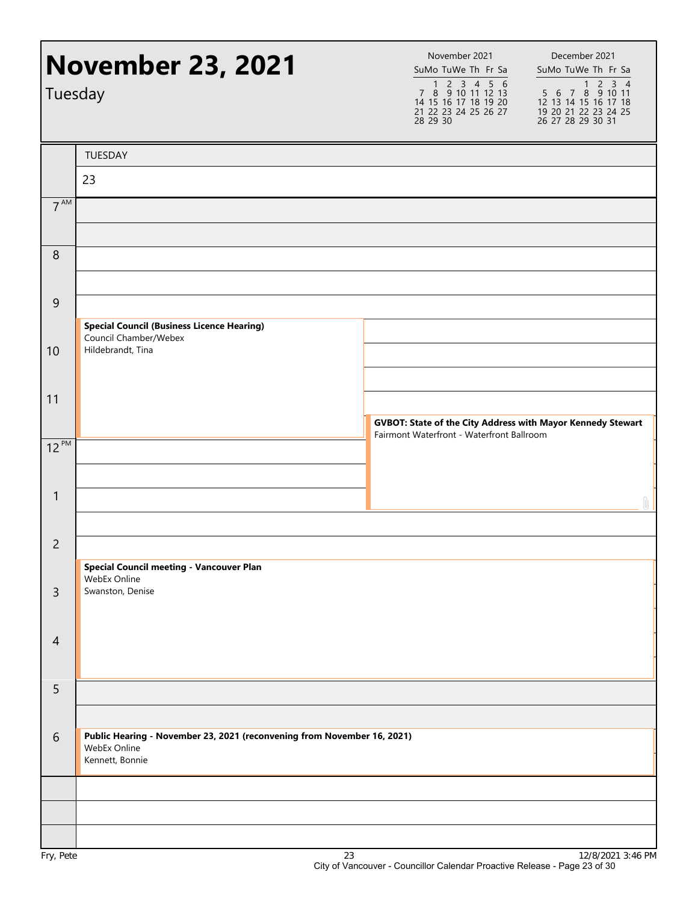|                 | <b>November 23, 2021</b><br>Tuesday                                                                        | November 2021<br>SuMo TuWe Th Fr Sa<br>1 2 3 4 5 6<br>7 8 9 10 11 12 13<br>14 15 16 17 18 19 20<br>21 22 23 24 25 26 27<br>28 29 30 | December 2021<br>SuMo TuWe Th Fr Sa<br>1 2 3 4<br>5 6 7 8 9 10 11<br>12 13 14 15 16 17 18<br>19 20 21 22 23 24 25<br>26 27 28 29 30 31 |
|-----------------|------------------------------------------------------------------------------------------------------------|-------------------------------------------------------------------------------------------------------------------------------------|----------------------------------------------------------------------------------------------------------------------------------------|
|                 | TUESDAY                                                                                                    |                                                                                                                                     |                                                                                                                                        |
|                 | 23                                                                                                         |                                                                                                                                     |                                                                                                                                        |
| $7^{\text{AM}}$ |                                                                                                            |                                                                                                                                     |                                                                                                                                        |
| 8               |                                                                                                            |                                                                                                                                     |                                                                                                                                        |
| $\overline{9}$  |                                                                                                            |                                                                                                                                     |                                                                                                                                        |
|                 | <b>Special Council (Business Licence Hearing)</b><br>Council Chamber/Webex                                 |                                                                                                                                     |                                                                                                                                        |
| 10              | Hildebrandt, Tina                                                                                          |                                                                                                                                     |                                                                                                                                        |
| 11              |                                                                                                            |                                                                                                                                     |                                                                                                                                        |
|                 |                                                                                                            | GVBOT: State of the City Address with Mayor Kennedy Stewart<br>Fairmont Waterfront - Waterfront Ballroom                            |                                                                                                                                        |
| $12^{PM}$       |                                                                                                            |                                                                                                                                     |                                                                                                                                        |
| $\mathbf{1}$    |                                                                                                            |                                                                                                                                     |                                                                                                                                        |
| $\overline{c}$  |                                                                                                            |                                                                                                                                     |                                                                                                                                        |
|                 | <b>Special Council meeting - Vancouver Plan</b><br>WebEx Online                                            |                                                                                                                                     |                                                                                                                                        |
| $\overline{3}$  | Swanston, Denise                                                                                           |                                                                                                                                     |                                                                                                                                        |
| $\overline{4}$  |                                                                                                            |                                                                                                                                     |                                                                                                                                        |
| 5               |                                                                                                            |                                                                                                                                     |                                                                                                                                        |
| $6\,$           | Public Hearing - November 23, 2021 (reconvening from November 16, 2021)<br>WebEx Online<br>Kennett, Bonnie |                                                                                                                                     |                                                                                                                                        |
|                 |                                                                                                            |                                                                                                                                     |                                                                                                                                        |
|                 |                                                                                                            |                                                                                                                                     |                                                                                                                                        |
|                 |                                                                                                            |                                                                                                                                     |                                                                                                                                        |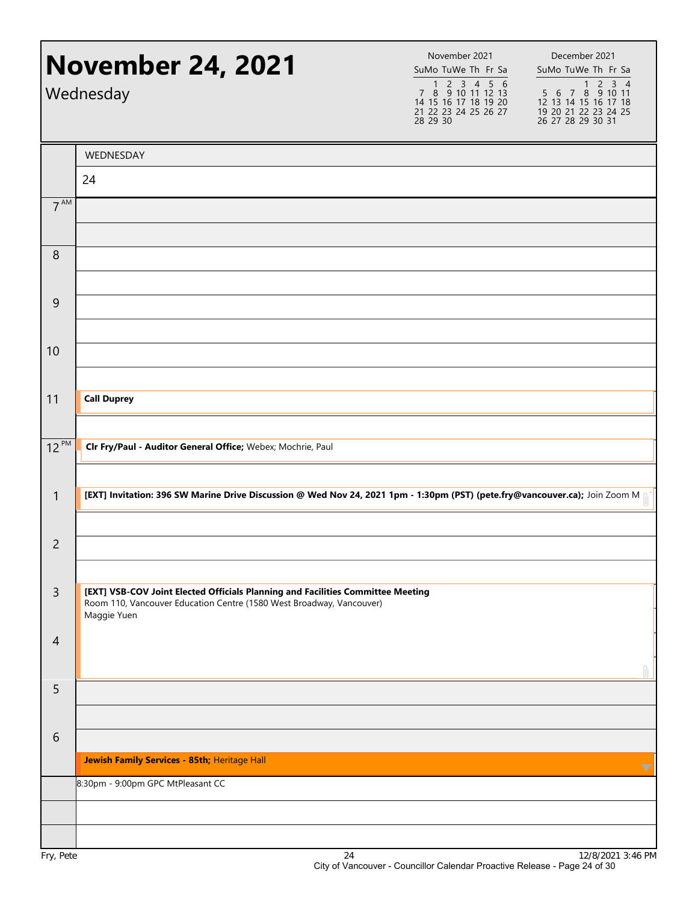|                 | <b>November 24, 2021</b><br>Wednesday                                                                                                                   | November 2021<br>SuMo TuWe Th Fr Sa<br>1 2 3 4 5 6<br>7 8 9 10 11 12 13<br>14 15 16 17 18 19 20<br>21 22 23 24 25 26 27<br>28 29 30 | December 2021<br>SuMo TuWe Th Fr Sa<br>$2 \t3 \t4$<br>$\mathbf{1}$<br>5 6 7 8 9 10 11<br>12 13 14 15 16 17 18<br>19 20 21 22 23 24 25<br>26 27 28 29 30 31 |
|-----------------|---------------------------------------------------------------------------------------------------------------------------------------------------------|-------------------------------------------------------------------------------------------------------------------------------------|------------------------------------------------------------------------------------------------------------------------------------------------------------|
|                 | WEDNESDAY                                                                                                                                               |                                                                                                                                     |                                                                                                                                                            |
|                 | 24                                                                                                                                                      |                                                                                                                                     |                                                                                                                                                            |
| 7 <sup>AM</sup> |                                                                                                                                                         |                                                                                                                                     |                                                                                                                                                            |
|                 |                                                                                                                                                         |                                                                                                                                     |                                                                                                                                                            |
| 8               |                                                                                                                                                         |                                                                                                                                     |                                                                                                                                                            |
|                 |                                                                                                                                                         |                                                                                                                                     |                                                                                                                                                            |
| 9               |                                                                                                                                                         |                                                                                                                                     |                                                                                                                                                            |
|                 |                                                                                                                                                         |                                                                                                                                     |                                                                                                                                                            |
| 10              |                                                                                                                                                         |                                                                                                                                     |                                                                                                                                                            |
|                 |                                                                                                                                                         |                                                                                                                                     |                                                                                                                                                            |
| 11              | <b>Call Duprey</b>                                                                                                                                      |                                                                                                                                     |                                                                                                                                                            |
|                 |                                                                                                                                                         |                                                                                                                                     |                                                                                                                                                            |
| $12^{PM}$       | CIr Fry/Paul - Auditor General Office; Webex; Mochrie, Paul                                                                                             |                                                                                                                                     |                                                                                                                                                            |
|                 |                                                                                                                                                         |                                                                                                                                     |                                                                                                                                                            |
| $\mathbf{1}$    | [EXT] Invitation: 396 SW Marine Drive Discussion @ Wed Nov 24, 2021 1pm - 1:30pm (PST) (pete.fry@vancouver.ca); Join Zoom M                             |                                                                                                                                     |                                                                                                                                                            |
|                 |                                                                                                                                                         |                                                                                                                                     |                                                                                                                                                            |
| 2               |                                                                                                                                                         |                                                                                                                                     |                                                                                                                                                            |
|                 |                                                                                                                                                         |                                                                                                                                     |                                                                                                                                                            |
| $\overline{3}$  | [EXT] VSB-COV Joint Elected Officials Planning and Facilities Committee Meeting<br>Room 110, Vancouver Education Centre (1580 West Broadway, Vancouver) |                                                                                                                                     |                                                                                                                                                            |
|                 | Maggie Yuen                                                                                                                                             |                                                                                                                                     |                                                                                                                                                            |
| $\overline{4}$  |                                                                                                                                                         |                                                                                                                                     |                                                                                                                                                            |
| 5               |                                                                                                                                                         |                                                                                                                                     | 0                                                                                                                                                          |
|                 |                                                                                                                                                         |                                                                                                                                     |                                                                                                                                                            |
| 6               |                                                                                                                                                         |                                                                                                                                     |                                                                                                                                                            |
|                 | Jewish Family Services - 85th; Heritage Hall                                                                                                            |                                                                                                                                     |                                                                                                                                                            |
|                 | 8:30pm - 9:00pm GPC MtPleasant CC                                                                                                                       |                                                                                                                                     | $\blacktriangledown$                                                                                                                                       |
|                 |                                                                                                                                                         |                                                                                                                                     |                                                                                                                                                            |
|                 |                                                                                                                                                         |                                                                                                                                     |                                                                                                                                                            |
| Fry, Pete       | 24                                                                                                                                                      |                                                                                                                                     | 12/8/2021 3:46 PM                                                                                                                                          |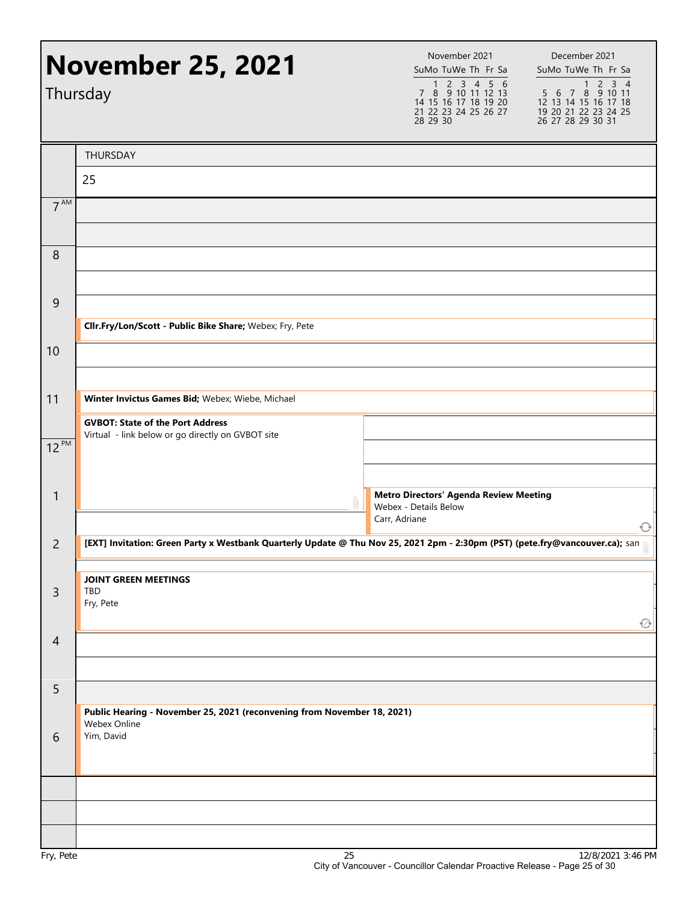|                 | <b>November 25, 2021</b><br>Thursday                                                                                         | November 2021<br>SuMo TuWe Th Fr Sa<br>1 2 3 4 5 6<br>7 8 9 10 11 12 13<br>14 15 16 17 18 19 20<br>21 22 23 24 25 26 27<br>28 29 30 | December 2021<br>SuMo TuWe Th Fr Sa<br>1 2 3 4<br>5 6 7 8 9 10 11<br>12 13 14 15 16 17 18<br>19 20 21 22 23 24 25<br>26 27 28 29 30 31 |  |
|-----------------|------------------------------------------------------------------------------------------------------------------------------|-------------------------------------------------------------------------------------------------------------------------------------|----------------------------------------------------------------------------------------------------------------------------------------|--|
|                 | THURSDAY                                                                                                                     |                                                                                                                                     |                                                                                                                                        |  |
|                 | 25                                                                                                                           |                                                                                                                                     |                                                                                                                                        |  |
| 7 <sup>AM</sup> |                                                                                                                              |                                                                                                                                     |                                                                                                                                        |  |
|                 |                                                                                                                              |                                                                                                                                     |                                                                                                                                        |  |
| 8               |                                                                                                                              |                                                                                                                                     |                                                                                                                                        |  |
|                 |                                                                                                                              |                                                                                                                                     |                                                                                                                                        |  |
| $\overline{9}$  |                                                                                                                              |                                                                                                                                     |                                                                                                                                        |  |
|                 | Cllr.Fry/Lon/Scott - Public Bike Share; Webex; Fry, Pete                                                                     |                                                                                                                                     |                                                                                                                                        |  |
| 10              |                                                                                                                              |                                                                                                                                     |                                                                                                                                        |  |
|                 |                                                                                                                              |                                                                                                                                     |                                                                                                                                        |  |
| 11              | Winter Invictus Games Bid; Webex; Wiebe, Michael                                                                             |                                                                                                                                     |                                                                                                                                        |  |
|                 | <b>GVBOT: State of the Port Address</b><br>Virtual - link below or go directly on GVBOT site                                 |                                                                                                                                     |                                                                                                                                        |  |
| $12^{PM}$       |                                                                                                                              |                                                                                                                                     |                                                                                                                                        |  |
| $\mathbf{1}$    |                                                                                                                              | <b>Metro Directors' Agenda Review Meeting</b>                                                                                       |                                                                                                                                        |  |
|                 |                                                                                                                              | Webex - Details Below<br>Carr, Adriane                                                                                              |                                                                                                                                        |  |
| $\overline{c}$  | [EXT] Invitation: Green Party x Westbank Quarterly Update @ Thu Nov 25, 2021 2pm - 2:30pm (PST) (pete.fry@vancouver.ca); san |                                                                                                                                     | €                                                                                                                                      |  |
|                 |                                                                                                                              |                                                                                                                                     |                                                                                                                                        |  |
| $\overline{3}$  | <b>JOINT GREEN MEETINGS</b><br>TBD                                                                                           |                                                                                                                                     |                                                                                                                                        |  |
|                 | Fry, Pete                                                                                                                    |                                                                                                                                     | ∅                                                                                                                                      |  |
| $\overline{4}$  |                                                                                                                              |                                                                                                                                     |                                                                                                                                        |  |
|                 |                                                                                                                              |                                                                                                                                     |                                                                                                                                        |  |
| 5               |                                                                                                                              |                                                                                                                                     |                                                                                                                                        |  |
|                 | Public Hearing - November 25, 2021 (reconvening from November 18, 2021)<br>Webex Online                                      |                                                                                                                                     |                                                                                                                                        |  |
| 6               | Yim, David                                                                                                                   |                                                                                                                                     |                                                                                                                                        |  |
|                 |                                                                                                                              |                                                                                                                                     |                                                                                                                                        |  |
|                 |                                                                                                                              |                                                                                                                                     |                                                                                                                                        |  |
|                 |                                                                                                                              |                                                                                                                                     |                                                                                                                                        |  |
|                 |                                                                                                                              |                                                                                                                                     |                                                                                                                                        |  |
| Fry, Pete       | 25                                                                                                                           |                                                                                                                                     | 12/8/2021 3:46 PM                                                                                                                      |  |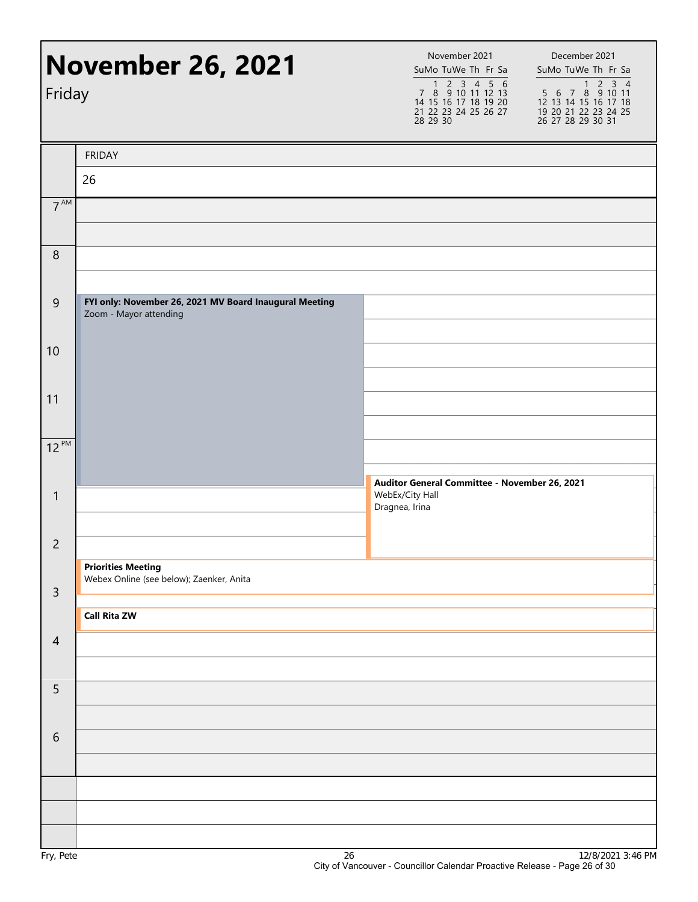| Friday           | <b>November 26, 2021</b>                                                         | November 2021<br>SuMo TuWe Th Fr Sa<br>$1 2 3 4 5 6$<br>7 8 9 10 11 12 13<br>14 15 16 17 18 19 20<br>21 22 23 24 25 26 27<br>28 29 30 | December 2021<br>SuMo TuWe Th Fr Sa<br>1 2 3 4<br>5 6 7 8 9 10 11<br>12 13 14 15 16 17 18<br>19 20 21 22 23 24 25<br>26 27 28 29 30 31 |
|------------------|----------------------------------------------------------------------------------|---------------------------------------------------------------------------------------------------------------------------------------|----------------------------------------------------------------------------------------------------------------------------------------|
|                  | <b>FRIDAY</b>                                                                    |                                                                                                                                       |                                                                                                                                        |
|                  | 26                                                                               |                                                                                                                                       |                                                                                                                                        |
| 7 <sup>AM</sup>  |                                                                                  |                                                                                                                                       |                                                                                                                                        |
| $\boldsymbol{8}$ |                                                                                  |                                                                                                                                       |                                                                                                                                        |
| $\overline{9}$   | FYI only: November 26, 2021 MV Board Inaugural Meeting<br>Zoom - Mayor attending |                                                                                                                                       |                                                                                                                                        |
| 10               |                                                                                  |                                                                                                                                       |                                                                                                                                        |
| 11               |                                                                                  |                                                                                                                                       |                                                                                                                                        |
| $12^{PM}$        |                                                                                  |                                                                                                                                       |                                                                                                                                        |
| $\mathbf{1}$     |                                                                                  | Auditor General Committee - November 26, 2021<br>WebEx/City Hall<br>Dragnea, Irina                                                    |                                                                                                                                        |
| $\overline{c}$   |                                                                                  |                                                                                                                                       |                                                                                                                                        |
| $\mathsf{3}$     | <b>Priorities Meeting</b><br>Webex Online (see below); Zaenker, Anita            |                                                                                                                                       |                                                                                                                                        |
|                  | <b>Call Rita ZW</b>                                                              |                                                                                                                                       |                                                                                                                                        |
| $\overline{4}$   |                                                                                  |                                                                                                                                       |                                                                                                                                        |
| 5                |                                                                                  |                                                                                                                                       |                                                                                                                                        |
| 6                |                                                                                  |                                                                                                                                       |                                                                                                                                        |
|                  |                                                                                  |                                                                                                                                       |                                                                                                                                        |
|                  |                                                                                  |                                                                                                                                       |                                                                                                                                        |
|                  |                                                                                  |                                                                                                                                       |                                                                                                                                        |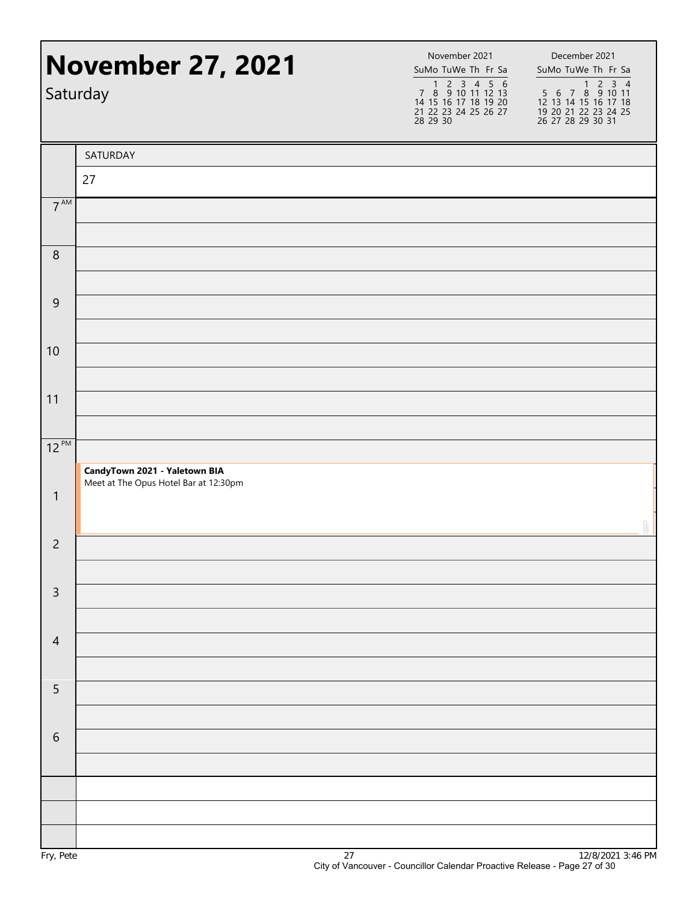| <b>November 27, 2021</b><br>Saturday |                                       | November 2021<br>SuMo TuWe Th Fr Sa<br>1 2 3 4 5 6<br>7 8 9 10 11 12 13<br>14 15 16 17 18 19 20<br>21 22 23 24 25 26 27<br>28 29 30 | December 2021<br>SuMo TuWe Th Fr Sa<br>1 2 3 4<br>5 6 7 8 9 10 11<br>12 13 14 15 16 17 18<br>19 20 21 22 23 24 25<br>26 27 28 29 30 31 |
|--------------------------------------|---------------------------------------|-------------------------------------------------------------------------------------------------------------------------------------|----------------------------------------------------------------------------------------------------------------------------------------|
|                                      | SATURDAY                              |                                                                                                                                     |                                                                                                                                        |
|                                      | 27                                    |                                                                                                                                     |                                                                                                                                        |
| $7^{\text{AM}}$                      |                                       |                                                                                                                                     |                                                                                                                                        |
| $\,8\,$                              |                                       |                                                                                                                                     |                                                                                                                                        |
| $\boldsymbol{9}$                     |                                       |                                                                                                                                     |                                                                                                                                        |
| 10                                   |                                       |                                                                                                                                     |                                                                                                                                        |
| 11                                   |                                       |                                                                                                                                     |                                                                                                                                        |
| $12^{PM}$                            | CandyTown 2021 - Yaletown BIA         |                                                                                                                                     |                                                                                                                                        |
| $\mathbf{1}$                         | Meet at The Opus Hotel Bar at 12:30pm |                                                                                                                                     | n                                                                                                                                      |
| $\overline{c}$                       |                                       |                                                                                                                                     |                                                                                                                                        |
| $\mathsf{3}$                         |                                       |                                                                                                                                     |                                                                                                                                        |
| $\overline{4}$                       |                                       |                                                                                                                                     |                                                                                                                                        |
| 5                                    |                                       |                                                                                                                                     |                                                                                                                                        |
| 6                                    |                                       |                                                                                                                                     |                                                                                                                                        |
|                                      |                                       |                                                                                                                                     |                                                                                                                                        |
|                                      |                                       |                                                                                                                                     |                                                                                                                                        |
|                                      |                                       |                                                                                                                                     | 210/20212                                                                                                                              |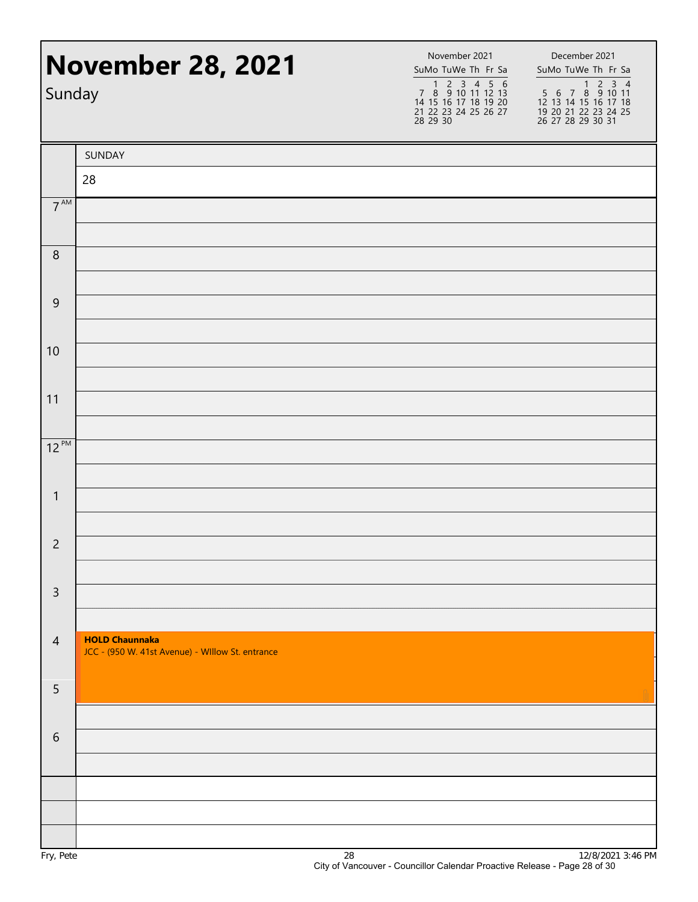| <b>November 28, 2021</b><br>Sunday |                                                                           | November 2021<br>SuMo TuWe Th Fr Sa<br>1 2 3 4 5 6<br>7 8 9 10 11 12 13<br>14 15 16 17 18 19 20<br>21 22 23 24 25 26 27<br>28 29 30 | December 2021<br>SuMo TuWe Th Fr Sa<br>1 2 3 4<br>5 6 7 8 9 10 11<br>12 13 14 15 16 17 18<br>19 20 21 22 23 24 25<br>26 27 28 29 30 31 |
|------------------------------------|---------------------------------------------------------------------------|-------------------------------------------------------------------------------------------------------------------------------------|----------------------------------------------------------------------------------------------------------------------------------------|
|                                    | SUNDAY                                                                    |                                                                                                                                     |                                                                                                                                        |
|                                    | 28                                                                        |                                                                                                                                     |                                                                                                                                        |
| 7 <sup>AM</sup>                    |                                                                           |                                                                                                                                     |                                                                                                                                        |
| $\,8\,$                            |                                                                           |                                                                                                                                     |                                                                                                                                        |
| $\overline{9}$                     |                                                                           |                                                                                                                                     |                                                                                                                                        |
| 10                                 |                                                                           |                                                                                                                                     |                                                                                                                                        |
| 11                                 |                                                                           |                                                                                                                                     |                                                                                                                                        |
| $12^{PM}$                          |                                                                           |                                                                                                                                     |                                                                                                                                        |
| $\mathbf{1}$                       |                                                                           |                                                                                                                                     |                                                                                                                                        |
| $\overline{2}$                     |                                                                           |                                                                                                                                     |                                                                                                                                        |
| $\mathsf{3}$                       |                                                                           |                                                                                                                                     |                                                                                                                                        |
| $\overline{4}$                     | <b>HOLD Chaunnaka</b><br>JCC - (950 W. 41st Avenue) - Willow St. entrance |                                                                                                                                     |                                                                                                                                        |
| 5                                  |                                                                           |                                                                                                                                     |                                                                                                                                        |
| 6                                  |                                                                           |                                                                                                                                     |                                                                                                                                        |
|                                    |                                                                           |                                                                                                                                     |                                                                                                                                        |
|                                    |                                                                           |                                                                                                                                     |                                                                                                                                        |
|                                    |                                                                           |                                                                                                                                     |                                                                                                                                        |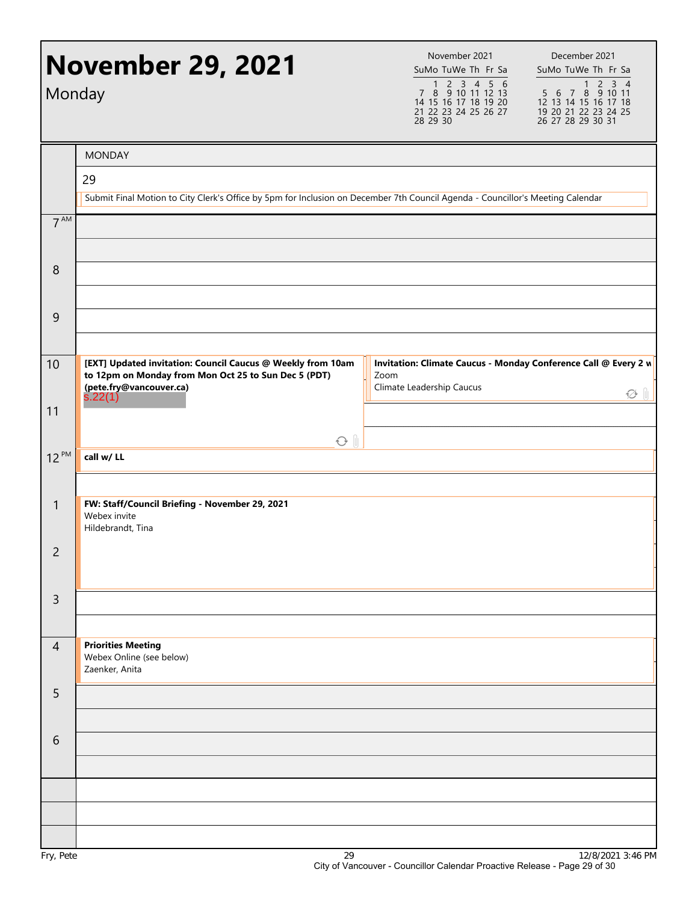|                 | <b>November 29, 2021</b><br>Monday                                                                                                                        | November 2021<br>SuMo TuWe Th Fr Sa<br>1 2 3 4 5 6<br>7 8 9 10 11 12 13<br>14 15 16 17 18 19 20<br>21 22 23 24 25 26 27<br>28 29 30 | December 2021<br>SuMo TuWe Th Fr Sa<br>$5\overline{6}$ 7 8 9 10 11<br>12 13 14 15 16 17 18<br>19 20 21 22 23 24 25<br>26 27 28 29 30 31 |
|-----------------|-----------------------------------------------------------------------------------------------------------------------------------------------------------|-------------------------------------------------------------------------------------------------------------------------------------|-----------------------------------------------------------------------------------------------------------------------------------------|
|                 | <b>MONDAY</b>                                                                                                                                             |                                                                                                                                     |                                                                                                                                         |
|                 | 29                                                                                                                                                        |                                                                                                                                     |                                                                                                                                         |
|                 | Submit Final Motion to City Clerk's Office by 5pm for Inclusion on December 7th Council Agenda - Councillor's Meeting Calendar                            |                                                                                                                                     |                                                                                                                                         |
| 7 <sup>AM</sup> |                                                                                                                                                           |                                                                                                                                     |                                                                                                                                         |
| 8               |                                                                                                                                                           |                                                                                                                                     |                                                                                                                                         |
| 9               |                                                                                                                                                           |                                                                                                                                     |                                                                                                                                         |
| 10              | [EXT] Updated invitation: Council Caucus @ Weekly from 10am<br>to 12pm on Monday from Mon Oct 25 to Sun Dec 5 (PDT)<br>(pete.fry@vancouver.ca)<br>s.22(1) | Invitation: Climate Caucus - Monday Conference Call @ Every 2 w<br>Zoom<br>Climate Leadership Caucus                                | ∅ ⊪                                                                                                                                     |
| 11              |                                                                                                                                                           |                                                                                                                                     |                                                                                                                                         |
|                 | $O$ $\parallel$                                                                                                                                           |                                                                                                                                     |                                                                                                                                         |
| $12^{PM}$       | call w/LL                                                                                                                                                 |                                                                                                                                     |                                                                                                                                         |
| $\mathbf{1}$    | FW: Staff/Council Briefing - November 29, 2021<br>Webex invite<br>Hildebrandt, Tina                                                                       |                                                                                                                                     |                                                                                                                                         |
| $\overline{c}$  |                                                                                                                                                           |                                                                                                                                     |                                                                                                                                         |
| $\overline{3}$  |                                                                                                                                                           |                                                                                                                                     |                                                                                                                                         |
| $\overline{4}$  | <b>Priorities Meeting</b><br>Webex Online (see below)<br>Zaenker, Anita                                                                                   |                                                                                                                                     |                                                                                                                                         |
| 5               |                                                                                                                                                           |                                                                                                                                     |                                                                                                                                         |
| 6               |                                                                                                                                                           |                                                                                                                                     |                                                                                                                                         |
|                 |                                                                                                                                                           |                                                                                                                                     |                                                                                                                                         |
|                 |                                                                                                                                                           |                                                                                                                                     |                                                                                                                                         |
|                 |                                                                                                                                                           |                                                                                                                                     |                                                                                                                                         |
|                 |                                                                                                                                                           |                                                                                                                                     |                                                                                                                                         |